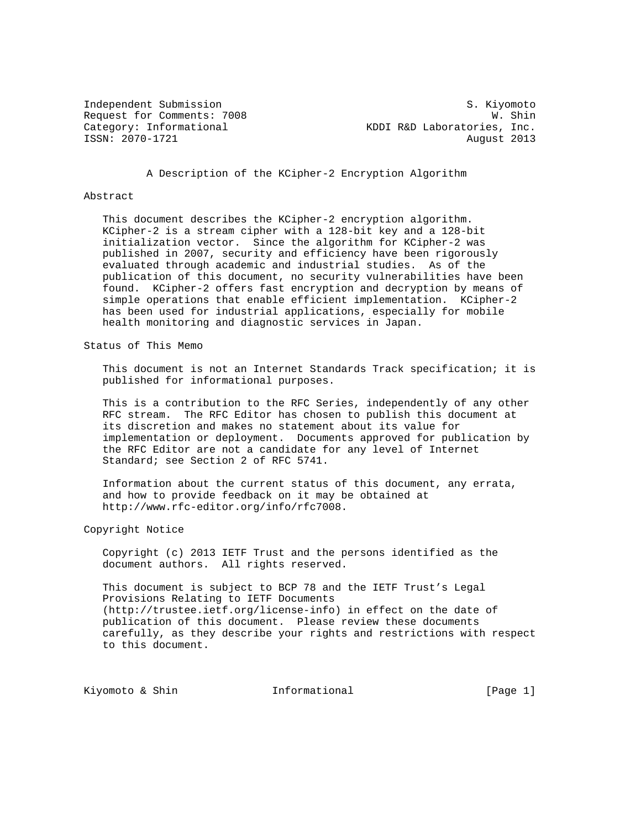Independent Submission S. Kiyomoto Request for Comments: 7008 W. Shin<br>Category: Informational Websites, Inc. KDDI R&D Laboratories, Inc. ISSN: 2070-1721 August 2013

A Description of the KCipher-2 Encryption Algorithm

#### Abstract

 This document describes the KCipher-2 encryption algorithm. KCipher-2 is a stream cipher with a 128-bit key and a 128-bit initialization vector. Since the algorithm for KCipher-2 was published in 2007, security and efficiency have been rigorously evaluated through academic and industrial studies. As of the publication of this document, no security vulnerabilities have been found. KCipher-2 offers fast encryption and decryption by means of simple operations that enable efficient implementation. KCipher-2 has been used for industrial applications, especially for mobile health monitoring and diagnostic services in Japan.

#### Status of This Memo

 This document is not an Internet Standards Track specification; it is published for informational purposes.

 This is a contribution to the RFC Series, independently of any other RFC stream. The RFC Editor has chosen to publish this document at its discretion and makes no statement about its value for implementation or deployment. Documents approved for publication by the RFC Editor are not a candidate for any level of Internet Standard; see Section 2 of RFC 5741.

 Information about the current status of this document, any errata, and how to provide feedback on it may be obtained at http://www.rfc-editor.org/info/rfc7008.

Copyright Notice

 Copyright (c) 2013 IETF Trust and the persons identified as the document authors. All rights reserved.

 This document is subject to BCP 78 and the IETF Trust's Legal Provisions Relating to IETF Documents (http://trustee.ietf.org/license-info) in effect on the date of publication of this document. Please review these documents carefully, as they describe your rights and restrictions with respect to this document.

Kiyomoto & Shin **Informational** [Page 1]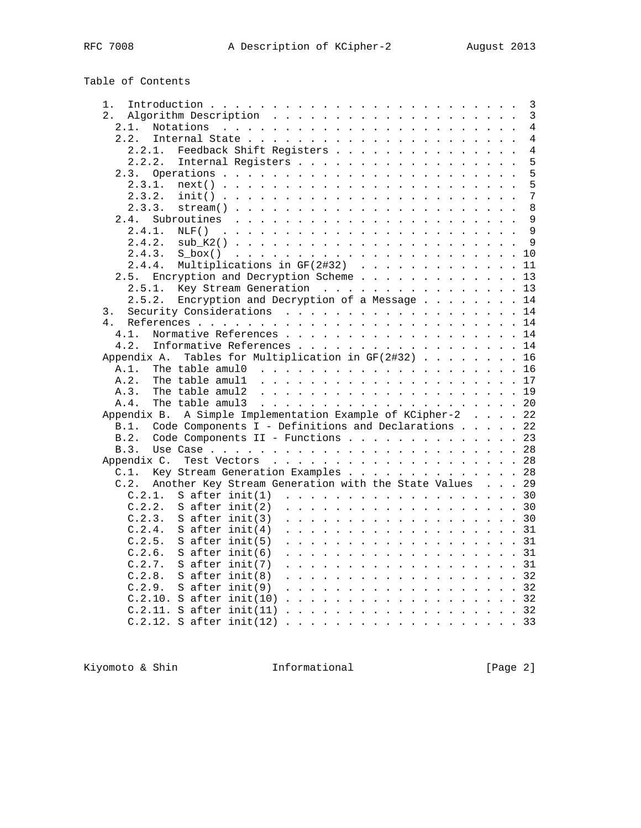# Table of Contents

| $1$ .                                                                                                                                | 3                   |
|--------------------------------------------------------------------------------------------------------------------------------------|---------------------|
| $2$ .                                                                                                                                | 3                   |
| 2.1.<br>Notations<br>the contract of the contract of the contract of the contract of the contract of the contract of the contract of | $\overline{4}$      |
| 2.2.                                                                                                                                 | $\overline{4}$      |
| Feedback Shift Registers<br>2.2.1.                                                                                                   | 4                   |
| 2.2.2.<br>Internal Registers                                                                                                         | 5                   |
| 2.3.                                                                                                                                 | 5                   |
| 2.3.1.<br>$next()$                                                                                                                   | 5                   |
| 2.3.2.<br>$init()$                                                                                                                   | 7                   |
| 2.3.3.                                                                                                                               | 8                   |
| Subroutines<br>2.4.                                                                                                                  | 9                   |
| 2.4.1.<br>NLF()                                                                                                                      | 9                   |
| 2.4.2.                                                                                                                               | 9                   |
|                                                                                                                                      |                     |
| 2.4.3.<br>$S$ box() $\ldots$ $\ldots$ $\ldots$ $\ldots$ $\ldots$ $\ldots$ $\ldots$ $\ldots$ $\ldots$                                 | 10                  |
| Multiplications in GF(2#32)<br>2.4.4.                                                                                                | 11<br>$\sim$        |
| Encryption and Decryption Scheme<br>2.5.                                                                                             | 13                  |
| Key Stream Generation<br>2.5.1.                                                                                                      | 13                  |
| Encryption and Decryption of a Message<br>2.5.2.                                                                                     | 14                  |
| 3.                                                                                                                                   | 14                  |
| 4.                                                                                                                                   | 14                  |
| Normative References 14<br>4.1.                                                                                                      |                     |
| 4.2.                                                                                                                                 | 14                  |
| Tables for Multiplication in GF(2#32)<br>Appendix A.                                                                                 | 16<br>$\sim$        |
| A.1.                                                                                                                                 | 16                  |
| A.2.                                                                                                                                 | 17                  |
| The table amul2<br>A.3.                                                                                                              |                     |
| A.4.<br>The table amul3                                                                                                              | 20                  |
| A Simple Implementation Example of KCipher-2<br>Appendix B.                                                                          | 22                  |
| Code Components I - Definitions and Declarations<br>B.1.                                                                             | 22                  |
| Code Components II - Functions<br>B.2.                                                                                               | 23                  |
| B.3.                                                                                                                                 | 28                  |
| Appendix C.                                                                                                                          | 28                  |
| Key Stream Generation Examples<br>$C.1$ .                                                                                            | 28                  |
| Another Key Stream Generation with the State Values<br>C.2.                                                                          | 29                  |
| C.2.1.<br>S after $init(1)$                                                                                                          | 30                  |
| C.2.2.<br>S after $init(2)$                                                                                                          | . 30<br>.           |
| S after $init(3)$<br>C.2.3.                                                                                                          | . 30                |
| C.2.4.<br>S after $init(4)$                                                                                                          | 31                  |
| C.2.5.<br>S after $init(5)$                                                                                                          | 31                  |
| C.2.6.                                                                                                                               | .                   |
| S after $init(6)$                                                                                                                    | 31                  |
| C.2.7.<br>$S$ after init(7)                                                                                                          | 31<br>$\frac{1}{2}$ |
| $S$ after init(8)<br>C.2.8.                                                                                                          | . 32                |
| S after $init(9)$<br>C.2.9.                                                                                                          | 32<br>.             |
| $C.2.10.$ S after init(10)                                                                                                           | 32<br>.<br>$\sim$   |
| $C.2.11.$ S after init(11)                                                                                                           | 32                  |
| $C.2.12.$ S after init(12).                                                                                                          | . 33                |

Kiyomoto & Shin **Informational** [Page 2]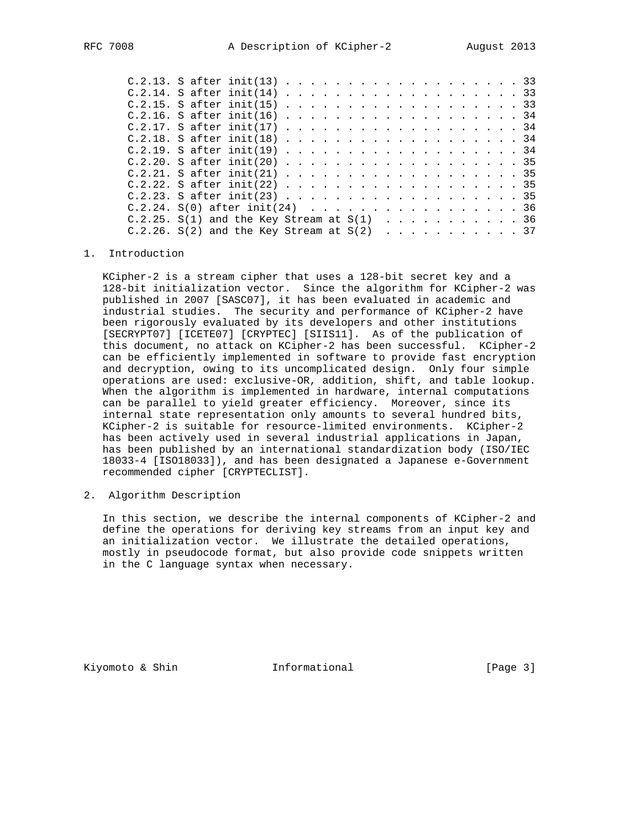| $C.2.13.$ S after init(13) 33                |  |  |  |  |  |  |  |  |  |  |  |  |
|----------------------------------------------|--|--|--|--|--|--|--|--|--|--|--|--|
| $C.2.14.$ S after init(14) 33                |  |  |  |  |  |  |  |  |  |  |  |  |
| $C.2.15.$ S after init(15) 33                |  |  |  |  |  |  |  |  |  |  |  |  |
| $C.2.16.$ S after init(16) 34                |  |  |  |  |  |  |  |  |  |  |  |  |
| C.2.17. S after init(17) 34                  |  |  |  |  |  |  |  |  |  |  |  |  |
| $C.2.18.$ S after init(18) 34                |  |  |  |  |  |  |  |  |  |  |  |  |
| $C.2.19.$ S after init(19) 34                |  |  |  |  |  |  |  |  |  |  |  |  |
| $C.2.20.$ S after init(20) 35                |  |  |  |  |  |  |  |  |  |  |  |  |
| $C.2.21.$ S after init(21) 35                |  |  |  |  |  |  |  |  |  |  |  |  |
|                                              |  |  |  |  |  |  |  |  |  |  |  |  |
| $C.2.23.$ S after init(23) 35                |  |  |  |  |  |  |  |  |  |  |  |  |
| $C.2.24. S(0)$ after init(24) 36             |  |  |  |  |  |  |  |  |  |  |  |  |
| C.2.25. S(1) and the Key Stream at $S(1)$ 36 |  |  |  |  |  |  |  |  |  |  |  |  |
| C.2.26. S(2) and the Key Stream at $S(2)$ 37 |  |  |  |  |  |  |  |  |  |  |  |  |
|                                              |  |  |  |  |  |  |  |  |  |  |  |  |

#### 1. Introduction

 KCipher-2 is a stream cipher that uses a 128-bit secret key and a 128-bit initialization vector. Since the algorithm for KCipher-2 was published in 2007 [SASC07], it has been evaluated in academic and industrial studies. The security and performance of KCipher-2 have been rigorously evaluated by its developers and other institutions [SECRYPT07] [ICETE07] [CRYPTEC] [SIIS11]. As of the publication of this document, no attack on KCipher-2 has been successful. KCipher-2 can be efficiently implemented in software to provide fast encryption and decryption, owing to its uncomplicated design. Only four simple operations are used: exclusive-OR, addition, shift, and table lookup. When the algorithm is implemented in hardware, internal computations can be parallel to yield greater efficiency. Moreover, since its internal state representation only amounts to several hundred bits, KCipher-2 is suitable for resource-limited environments. KCipher-2 has been actively used in several industrial applications in Japan, has been published by an international standardization body (ISO/IEC 18033-4 [ISO18033]), and has been designated a Japanese e-Government recommended cipher [CRYPTECLIST].

2. Algorithm Description

 In this section, we describe the internal components of KCipher-2 and define the operations for deriving key streams from an input key and an initialization vector. We illustrate the detailed operations, mostly in pseudocode format, but also provide code snippets written in the C language syntax when necessary.

Kiyomoto & Shin  $I_n$  Informational [Page 3]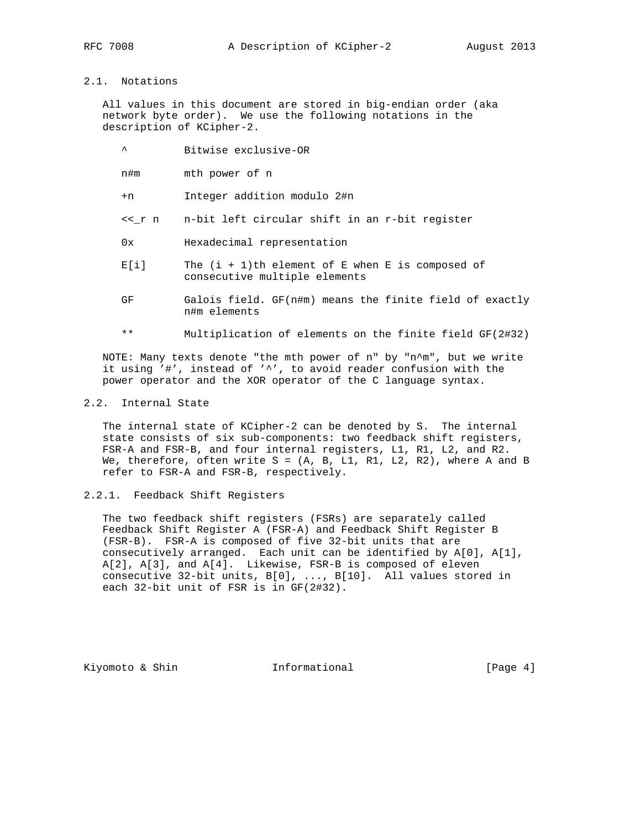# 2.1. Notations

 All values in this document are stored in big-endian order (aka network byte order). We use the following notations in the description of KCipher-2.

- ^ Bitwise exclusive-OR
- n#m mth power of n
- +n Integer addition modulo 2#n
- <<\_r n n-bit left circular shift in an r-bit register
- 0x Hexadecimal representation
- $E[i]$  The  $(i + 1)$ th element of E when E is composed of consecutive multiple elements
- GF Galois field. GF(n#m) means the finite field of exactly n#m elements
- \*\* Multiplication of elements on the finite field GF(2#32)

 NOTE: Many texts denote "the mth power of n" by "n^m", but we write it using '#', instead of '^', to avoid reader confusion with the power operator and the XOR operator of the C language syntax.

### 2.2. Internal State

 The internal state of KCipher-2 can be denoted by S. The internal state consists of six sub-components: two feedback shift registers, FSR-A and FSR-B, and four internal registers, L1, R1, L2, and R2. We, therefore, often write  $S = (A, B, L1, R1, L2, R2)$ , where A and B refer to FSR-A and FSR-B, respectively.

### 2.2.1. Feedback Shift Registers

 The two feedback shift registers (FSRs) are separately called Feedback Shift Register A (FSR-A) and Feedback Shift Register B (FSR-B). FSR-A is composed of five 32-bit units that are consecutively arranged. Each unit can be identified by A[0], A[1], A[2], A[3], and A[4]. Likewise, FSR-B is composed of eleven consecutive 32-bit units, B[0], ..., B[10]. All values stored in each 32-bit unit of FSR is in GF(2#32).

Kiyomoto & Shin  $I_n$  Informational [Page 4]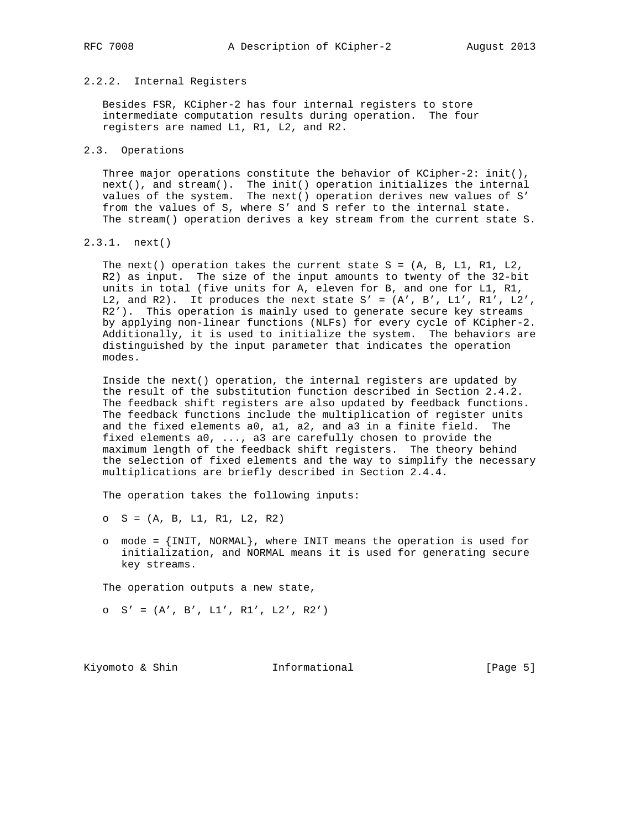# 2.2.2. Internal Registers

 Besides FSR, KCipher-2 has four internal registers to store intermediate computation results during operation. The four registers are named L1, R1, L2, and R2.

#### 2.3. Operations

Three major operations constitute the behavior of KCipher-2: init(), next(), and stream(). The init() operation initializes the internal values of the system. The next() operation derives new values of S' from the values of S, where S' and S refer to the internal state. The stream() operation derives a key stream from the current state S.

2.3.1. next()

The next() operation takes the current state  $S = (A, B, L1, R1, L2,$  R2) as input. The size of the input amounts to twenty of the 32-bit units in total (five units for A, eleven for B, and one for L1, R1, L2, and R2). It produces the next state  $S' = (A', B', L1', R1', L2',$  R2'). This operation is mainly used to generate secure key streams by applying non-linear functions (NLFs) for every cycle of KCipher-2. Additionally, it is used to initialize the system. The behaviors are distinguished by the input parameter that indicates the operation modes.

 Inside the next() operation, the internal registers are updated by the result of the substitution function described in Section 2.4.2. The feedback shift registers are also updated by feedback functions. The feedback functions include the multiplication of register units and the fixed elements a0, a1, a2, and a3 in a finite field. The fixed elements a0, ..., a3 are carefully chosen to provide the maximum length of the feedback shift registers. The theory behind the selection of fixed elements and the way to simplify the necessary multiplications are briefly described in Section 2.4.4.

The operation takes the following inputs:

- o S = (A, B, L1, R1, L2, R2)
- o mode = {INIT, NORMAL}, where INIT means the operation is used for initialization, and NORMAL means it is used for generating secure key streams.

The operation outputs a new state,

o  $S' = (A', B', L1', R1', L2', R2')$ 

Kiyomoto & Shin **Informational** [Page 5]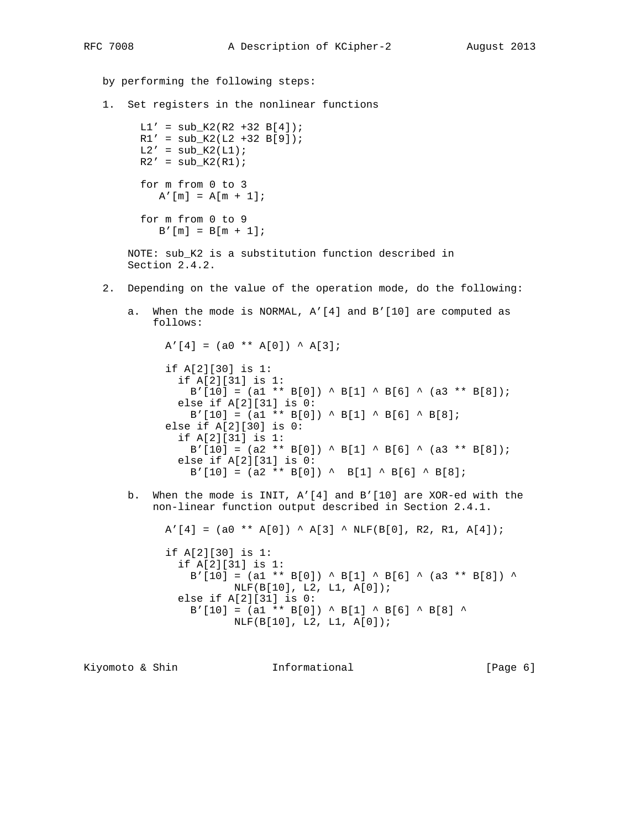by performing the following steps: 1. Set registers in the nonlinear functions  $LI' = sub_K2(R2 + 32 B[4]);$  $R1' = sub_K2(L2 + 32 B[9]);$  $L2' = sub_K2(L1);$  $R2' = sub_K2(R1);$  for m from 0 to 3  $A'$ [m] =  $A[m + 1]$ ; for m from 0 to 9  $B'[m] = B[m + 1];$ NOTE: sub K2 is a substitution function described in Section 2.4.2. 2. Depending on the value of the operation mode, do the following: a. When the mode is NORMAL, A'[4] and B'[10] are computed as follows:  $A'[4] = (a0 ** A[0]) * A[3];$  if A[2][30] is 1: if A[2][31] is 1:  $B'[10] = (a1 ** B[0]) ^ B[1] ^ B[6] ^ (a3 ** B[8]);$  else if A[2][31] is 0:  $B'[10] = (a1 ** B[0]) * B[1] * B[6] * B[8];$  else if A[2][30] is 0: if A[2][31] is 1:  $B'[10] = (a2 ** B[0]) * B[1] * B[6] * (a3 ** B[8]);$  else if A[2][31] is 0:  $B'[10] = (a2 ** B[0]) ^ \frown B[1] ^ \frown B[6] ^ \frown B[8];$  b. When the mode is INIT, A'[4] and B'[10] are XOR-ed with the non-linear function output described in Section 2.4.1.  $A'[4] = (a0 ** A[0]) * A[3] * NLF(B[0], R2, R1, A[4]);$  if A[2][30] is 1: if A[2][31] is 1:  $B'[10] = (a1 ** B[0]) ^ B[1] ^ B[6] ^ (a3 ** B[8]) ^$  NLF(B[10], L2, L1, A[0]); else if A[2][31] is 0:  $B'[10] = (a1 ** B[0]) ^{A} B[1] ^{A} B[6] ^{A} B[8] ^{A}$  NLF(B[10], L2, L1, A[0]); Kiyomoto & Shin **Informational** [Page 6]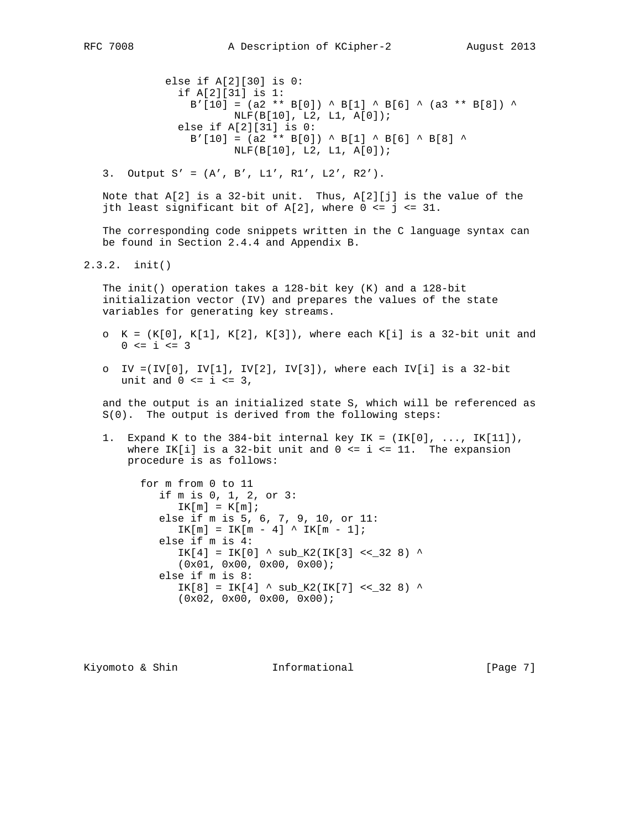else if A[2][30] is 0: if A[2][31] is 1:  $B'[10] = (a2 ** B[0]) ^{A} B[1] ^{A} B[6] ^{A} (a3 ** B[8]) ^{A}$  NLF(B[10], L2, L1, A[0]); else if A[2][31] is 0:  $B'[10] = (a2 ** B[0]) ^{A} B[1] ^{A} B[6] ^{A} B[8] ^{A}$ NLF(B[10], L2, L1, A[0]);

3. Output  $S' = (A', B', L1', R1', L2', R2').$ 

 Note that A[2] is a 32-bit unit. Thus, A[2][j] is the value of the jth least significant bit of  $A[2]$ , where  $0 \leq j \leq 31$ .

 The corresponding code snippets written in the C language syntax can be found in Section 2.4.4 and Appendix B.

2.3.2. init()

 The init() operation takes a 128-bit key (K) and a 128-bit initialization vector (IV) and prepares the values of the state variables for generating key streams.

- o  $K = (K[0], K[1], K[2], K[3])$ , where each  $K[i]$  is a 32-bit unit and  $0 \le i \le 3$
- o IV =(IV[0], IV[1], IV[2], IV[3]), where each IV[i] is a 32-bit unit and  $0 \le i \le 3$ ,

 and the output is an initialized state S, which will be referenced as S(0). The output is derived from the following steps:

1. Expand K to the 384-bit internal key IK =  $(IK[0], \ldots, IK[11]),$ where IK[i] is a 32-bit unit and  $0 \le i \le 11$ . The expansion procedure is as follows:

 for m from 0 to 11 if m is 0, 1, 2, or 3:  $IK[m] = K[m];$  else if m is 5, 6, 7, 9, 10, or 11:  $IK[m] = IK[m - 4]$   $\wedge$   $IK[m - 1]$ ; else if m is 4:  $IK[4] = IK[0]$  ^  $sub_K2(IK[3]$  << \_32 8) ^ (0x01, 0x00, 0x00, 0x00); else if m is 8:  $IK[8] = IK[4]$  ^  $sub_K2(IK[7]$  << 32 8) ^ (0x02, 0x00, 0x00, 0x00);

Kiyomoto & Shin  $I_n$  Informational [Page 7]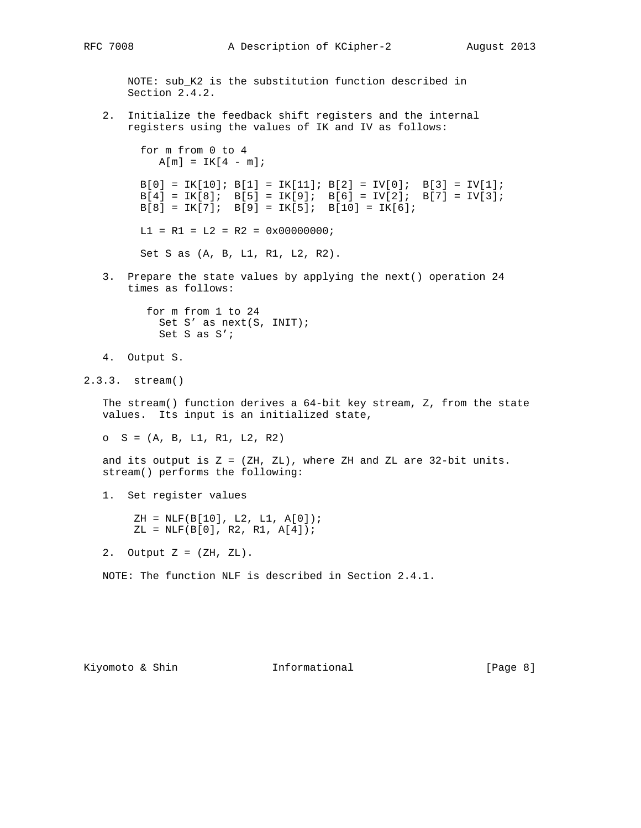```
 NOTE: sub_K2 is the substitution function described in
    Section 2.4.2.
 2. Initialize the feedback shift registers and the internal
    registers using the values of IK and IV as follows:
      for m from 0 to 4
       A[m] = IK[4 - m];B[0] = IK[10]; B[1] = IK[11]; B[2] = IV[0]; B[3] = IV[1];B[4] = IK[8]; B[5] = IK[9]; B[6] = IV[2]; B[7] = IV[3];B[8] = IK[7]; B[9] = IK[5]; B[10] = IK[6];LI = R1 = L2 = R2 = 0x00000000 Set S as (A, B, L1, R1, L2, R2).
 3. Prepare the state values by applying the next() operation 24
    times as follows:
       for m from 1 to 24
        Set S' as next(S, INIT);
         Set S as S';
```

```
 4. Output S.
```
2.3.3. stream()

 The stream() function derives a 64-bit key stream, Z, from the state values. Its input is an initialized state,

 $O$  S =  $(A, B, L1, R1, L2, R2)$ 

and its output is  $Z = (ZH, ZL)$ , where  $ZH$  and  $ZL$  are  $32$ -bit units. stream() performs the following:

1. Set register values

 $ZH = NLF(B[10], L2, L1, A[0]);$  $ZL = NLF(B[0], R2, R1, A[4]);$ 

2. Output  $Z = (ZH, ZL)$ .

NOTE: The function NLF is described in Section 2.4.1.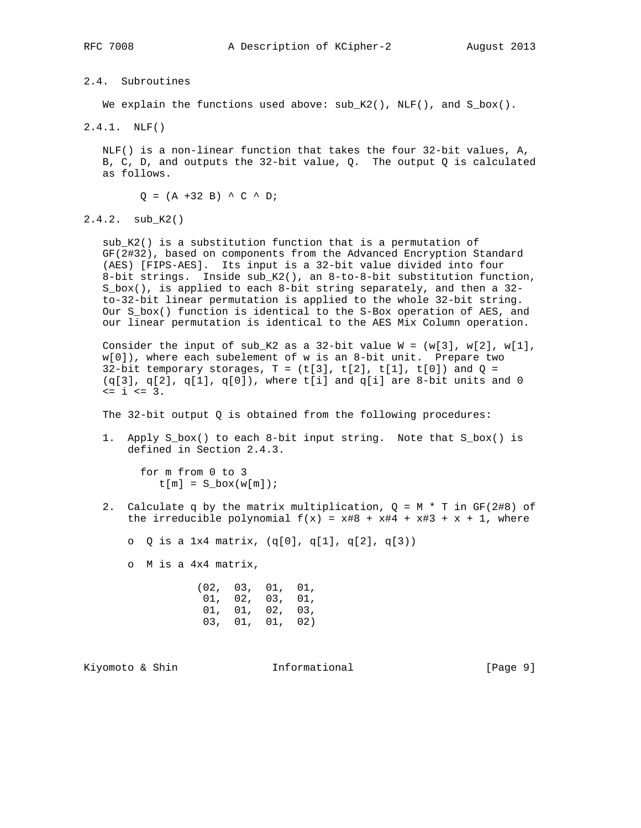2.4. Subroutines

We explain the functions used above:  $sub_K(2()$ ,  $NLF()$ , and  $S_b$ box().

2.4.1. NLF()

 NLF() is a non-linear function that takes the four 32-bit values, A, B, C, D, and outputs the 32-bit value, Q. The output Q is calculated as follows.

 $Q = (A + 32 B)$   $\wedge$  C  $\wedge$  D;

2.4.2. sub\_K2()

 sub\_K2() is a substitution function that is a permutation of GF(2#32), based on components from the Advanced Encryption Standard (AES) [FIPS-AES]. Its input is a 32-bit value divided into four 8-bit strings. Inside sub\_K2(), an 8-to-8-bit substitution function, S\_box(), is applied to each 8-bit string separately, and then a 32 to-32-bit linear permutation is applied to the whole 32-bit string. Our S\_box() function is identical to the S-Box operation of AES, and our linear permutation is identical to the AES Mix Column operation.

Consider the input of sub\_K2 as a 32-bit value  $W = (w[3], w[2], w[1],$  w[0]), where each subelement of w is an 8-bit unit. Prepare two 32-bit temporary storages,  $T = (t[3], t[2], t[1], t[0])$  and  $Q =$  $(q[3], q[2], q[1], q[0])$ , where t[i] and q[i] are 8-bit units and 0 <= i <= 3.

The 32-bit output Q is obtained from the following procedures:

 1. Apply S\_box() to each 8-bit input string. Note that S\_box() is defined in Section 2.4.3.

 for m from 0 to 3  $t[m] = S_{box(w[m]);$ 

2. Calculate q by the matrix multiplication,  $Q = M * T$  in GF(2#8) of the irreducible polynomial  $f(x) = x#8 + x#4 + x#3 + x + 1$ , where

o Q is a 1x4 matrix, (q[0], q[1], q[2], q[3))

o M is a 4x4 matrix,

| (02, 03, 01, 01, |                 |  |
|------------------|-----------------|--|
|                  | 01, 02, 03, 01, |  |
|                  | 01, 01, 02, 03, |  |
|                  | 03, 01, 01, 02) |  |

Kiyomoto & Shin  $I_n$  Informational [Page 9]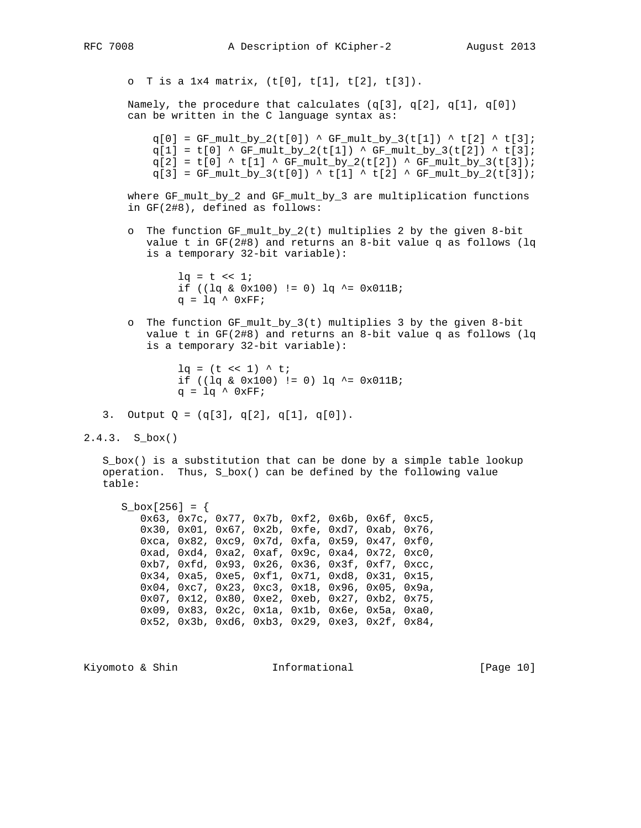o T is a 1x4 matrix, (t[0], t[1], t[2], t[3]).

Namely, the procedure that calculates  $(q[3], q[2], q[1], q[0])$ can be written in the C language syntax as:

 $q[0] = GF\_mult\_by_2(t[0]) \triangleq GF\_mult\_by_3(t[1]) \triangleq t[2] \triangleq t[3];$  $q[1] = t[0]$  ^ GF\_mult\_by\_2(t[1]) ^ GF\_mult\_by\_3(t[2]) ^ t[3];  $q[2] = t[0]$  ^ t[1] ^ GF\_mult\_by\_2(t[2]) ^ GF\_mult\_by\_3(t[3]);  $q[3] = GF_mult_by_3(t[0]) \, \wedge \, t[1] \, \wedge \, t[2] \, \wedge \, GF_mult_by_2(t[3]);$ 

 where GF\_mult\_by\_2 and GF\_mult\_by\_3 are multiplication functions in GF(2#8), defined as follows:

 o The function GF\_mult\_by\_2(t) multiplies 2 by the given 8-bit value t in GF(2#8) and returns an 8-bit value q as follows (lq is a temporary 32-bit variable):

> $lq = t \ll 1;$ if (( $\lg \& 0x100$ ) != 0)  $\lg \sim 0x011B$ ;  $q = lq \wedge 0xFF$ ;

 o The function GF\_mult\_by\_3(t) multiplies 3 by the given 8-bit value t in GF(2#8) and returns an 8-bit value q as follows (lq is a temporary 32-bit variable):

```
lq = (t \ll 1) \land t;
if ((\lg \& 0x100) != 0) \lg \sim 0x011B;
q = lq \wedge 0xFF;
```
- 3. Output  $Q = (q[3], q[2], q[1], q[0]).$
- 2.4.3. S\_box()

S box() is a substitution that can be done by a simple table lookup operation. Thus, S\_box() can be defined by the following value table:

```
 S_box[256] = {
    0x63, 0x7c, 0x77, 0x7b, 0xf2, 0x6b, 0x6f, 0xc5,
    0x30, 0x01, 0x67, 0x2b, 0xfe, 0xd7, 0xab, 0x76,
   0xca, 0x82, 0xc9, 0x7d, 0xfa, 0x59, 0x47, 0xf0,
   0xad, 0xd4, 0xa2, 0xaf, 0x9c, 0xa4, 0x72, 0xc0,
   0xb7, 0xfd, 0x93, 0x26, 0x36, 0x3f, 0xf7, 0xcc,
   0x34, 0xa5, 0xe5, 0xf1, 0x71, 0xd8, 0x31, 0x15,
   0x04, 0xc7, 0x23, 0xc3, 0x18, 0x96, 0x05, 0x9a,
   0x07, 0x12, 0x80, 0xe2, 0xeb, 0x27, 0xb2, 0x75,
   0x09, 0x83, 0x2c, 0x1a, 0x1b, 0x6e, 0x5a, 0xa0,
   0x52, 0x3b, 0xd6, 0xb3, 0x29, 0xe3, 0x2f, 0x84,
```
Kiyomoto & Shin  $I_n$  Informational [Page 10]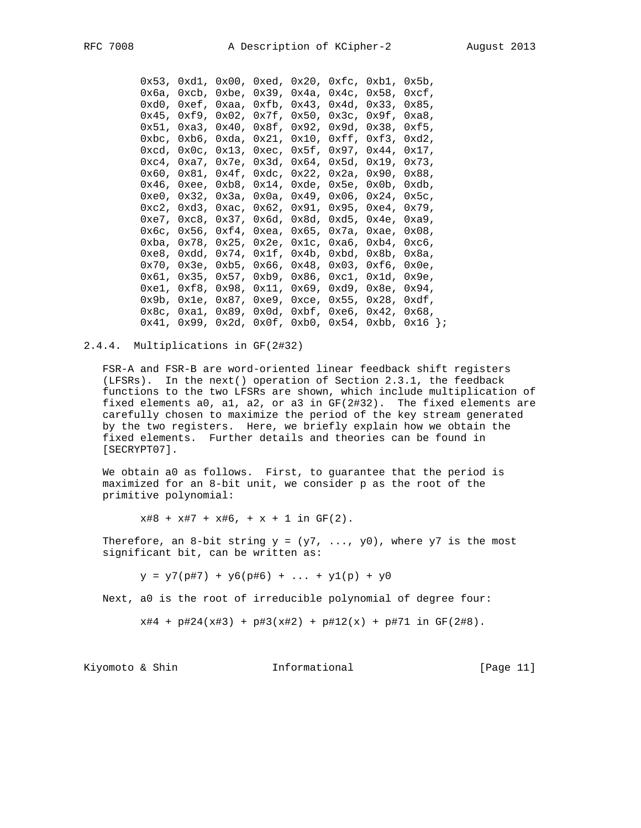|  |  |  | $0x53$ , $0xd1$ , $0x00$ , $0xed$ , $0x20$ , $0xfc$ , $0xb1$ , $0x5b$ ,                                                        |                                                                                                                                 |
|--|--|--|--------------------------------------------------------------------------------------------------------------------------------|---------------------------------------------------------------------------------------------------------------------------------|
|  |  |  |                                                                                                                                | $0x6a$ , $0xcb$ , $0xbe$ , $0x39$ , $0x4a$ , $0x4c$ , $0x58$ , $0xcf$ ,                                                         |
|  |  |  | $0xd0$ , $0xef$ , $0xaa$ , $0xfb$ , $0x43$ , $0x4d$ , $0x33$ , $0x85$ ,                                                        |                                                                                                                                 |
|  |  |  | $0x45$ , $0xf9$ , $0x02$ , $0x7f$ , $0x50$ , $0x3c$ , $0x9f$ , $0xa8$ ,                                                        |                                                                                                                                 |
|  |  |  |                                                                                                                                | $0x51$ , $0xa3$ , $0x40$ , $0x8f$ , $0x92$ , $0x9d$ , $0x38$ , $0xf5$ ,                                                         |
|  |  |  |                                                                                                                                | $0$ xbc, $0$ xb6, $0$ xda, $0x21$ , $0x10$ , $0xff$ , $0xf3$ , $0xd2$ ,                                                         |
|  |  |  | $0 \times c$ d, $0 \times 0$ c, $0 \times 13$ , $0 \times c$ , $0 \times 5f$ , $0 \times 97$ , $0 \times 44$ , $0 \times 17$ , |                                                                                                                                 |
|  |  |  |                                                                                                                                | $0 \times c4$ , $0 \times a7$ , $0 \times 7e$ , $0 \times 3d$ , $0 \times 64$ , $0 \times 5d$ , $0 \times 19$ , $0 \times 73$ , |
|  |  |  | $0x60$ , $0x81$ , $0x4f$ , $0xdc$ , $0x22$ , $0x2a$ , $0x90$ , $0x88$ ,                                                        |                                                                                                                                 |
|  |  |  | $0x46$ , $0xee$ , $0xb8$ , $0x14$ , $0xde$ , $0x5e$ , $0x0b$ , $0xdb$ ,                                                        |                                                                                                                                 |
|  |  |  |                                                                                                                                | $0xe0$ , $0x32$ , $0x3a$ , $0x0a$ , $0x49$ , $0x06$ , $0x24$ , $0x5c$ ,                                                         |
|  |  |  | $0xc2$ , $0xd3$ , $0xc$ , $0x62$ , $0x91$ , $0x95$ , $0xe4$ , $0x79$ ,                                                         |                                                                                                                                 |
|  |  |  | 0xe7, 0xc8, 0x37, 0x6d, 0x8d, 0xd5, 0x4e, 0xa9,                                                                                |                                                                                                                                 |
|  |  |  | $0x6c$ , $0x56$ , $0xf4$ , $0xea$ , $0x65$ , $0x7a$ , $0xae$ , $0x08$ ,                                                        |                                                                                                                                 |
|  |  |  | $0$ xba, $0x78$ , $0x25$ , $0x2e$ , $0x1c$ , $0xa6$ , $0xb4$ , $0xc6$ ,                                                        |                                                                                                                                 |
|  |  |  | $0xe8$ , $0xdd$ , $0x74$ , $0x1f$ , $0x4b$ , $0xbd$ , $0x8b$ , $0x8a$ ,                                                        |                                                                                                                                 |
|  |  |  | $0x70$ , $0x3e$ , $0xb5$ , $0x66$ , $0x48$ , $0x03$ , $0xf6$ , $0x0e$ ,                                                        |                                                                                                                                 |
|  |  |  |                                                                                                                                | $0x61$ , $0x35$ , $0x57$ , $0xb9$ , $0x86$ , $0xc1$ , $0x1d$ , $0x9e$ ,                                                         |
|  |  |  |                                                                                                                                | $0xe1, 0xf8, 0x98, 0x11, 0x69, 0xd9, 0x8e, 0x94,$                                                                               |
|  |  |  |                                                                                                                                | $0x9b$ , $0x1e$ , $0x87$ , $0xe9$ , $0xce$ , $0x55$ , $0x28$ , $0xdf$ ,                                                         |
|  |  |  |                                                                                                                                | $0x8c$ , $0xa1$ , $0x89$ , $0x0d$ , $0xbf$ , $0xe6$ , $0x42$ , $0x68$ ,                                                         |
|  |  |  |                                                                                                                                | $0x41, 0x99, 0x2d, 0x0f, 0xb0, 0x54, 0xbb, 0x16 \}$                                                                             |
|  |  |  |                                                                                                                                |                                                                                                                                 |

2.4.4. Multiplications in GF(2#32)

 FSR-A and FSR-B are word-oriented linear feedback shift registers (LFSRs). In the next() operation of Section 2.3.1, the feedback functions to the two LFSRs are shown, which include multiplication of fixed elements a0, a1, a2, or a3 in GF(2#32). The fixed elements are carefully chosen to maximize the period of the key stream generated by the two registers. Here, we briefly explain how we obtain the fixed elements. Further details and theories can be found in [SECRYPT07].

 We obtain a0 as follows. First, to guarantee that the period is maximized for an 8-bit unit, we consider p as the root of the primitive polynomial:

 $x#8 + x#7 + x#6$ ,  $+ x + 1$  in  $GF(2)$ .

Therefore, an 8-bit string  $y = (y7, \ldots, y0)$ , where  $y7$  is the most significant bit, can be written as:

 $y = y7(p#7) + y6(p#6) + ... + y1(p) + y0$ 

Next, a0 is the root of irreducible polynomial of degree four:

 $x#4 + p#24(x#3) + p#3(x#2) + p#12(x) + p#71$  in GF(2#8).

Kiyomoto & Shin  $I_n$  Informational [Page 11]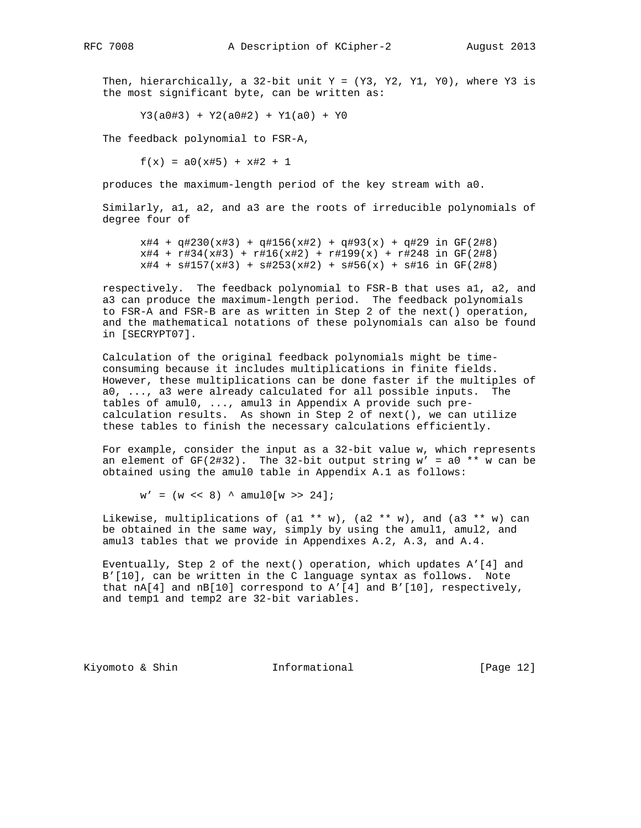Then, hierarchically, a 32-bit unit  $Y = (Y3, Y2, Y1, Y0)$ , where  $Y3$  is the most significant byte, can be written as:

 $Y3(a0#3) + Y2(a0#2) + Y1(a0) + Y0$ 

The feedback polynomial to FSR-A,

 $f(x) = a0(x#5) + x#2 + 1$ 

produces the maximum-length period of the key stream with a0.

 Similarly, a1, a2, and a3 are the roots of irreducible polynomials of degree four of

 $x#4 + q#230(x#3) + q#156(x#2) + q#93(x) + q#29$  in GF(2#8) x#4 + r#34(x#3) + r#16(x#2) + r#199(x) + r#248 in GF(2#8)  $x#4$  +  $s#157(x#3)$  +  $s#253(x#2)$  +  $s#56(x)$  +  $s#16$  in  $GF(2#8)$ 

 respectively. The feedback polynomial to FSR-B that uses a1, a2, and a3 can produce the maximum-length period. The feedback polynomials to FSR-A and FSR-B are as written in Step 2 of the next() operation, and the mathematical notations of these polynomials can also be found in [SECRYPT07].

 Calculation of the original feedback polynomials might be time consuming because it includes multiplications in finite fields. However, these multiplications can be done faster if the multiples of a0, ..., a3 were already calculated for all possible inputs. The tables of amul0, ..., amul3 in Appendix A provide such pre calculation results. As shown in Step 2 of next(), we can utilize these tables to finish the necessary calculations efficiently.

 For example, consider the input as a 32-bit value w, which represents an element of  $GF(2#32)$ . The 32-bit output string  $w' = a0$  \*\* w can be obtained using the amul0 table in Appendix A.1 as follows:

 $w' = (w \ll 8)$  ^ amul0[w >> 24];

Likewise, multiplications of (al \*\* w), (a2 \*\* w), and (a3 \*\* w) can be obtained in the same way, simply by using the amul1, amul2, and amul3 tables that we provide in Appendixes A.2, A.3, and A.4.

 Eventually, Step 2 of the next() operation, which updates A'[4] and B'[10], can be written in the C language syntax as follows. Note that  $nA[4]$  and  $nB[10]$  correspond to  $A'[4]$  and  $B'[10]$ , respectively, and temp1 and temp2 are 32-bit variables.

Kiyomoto & Shin **Informational** [Page 12]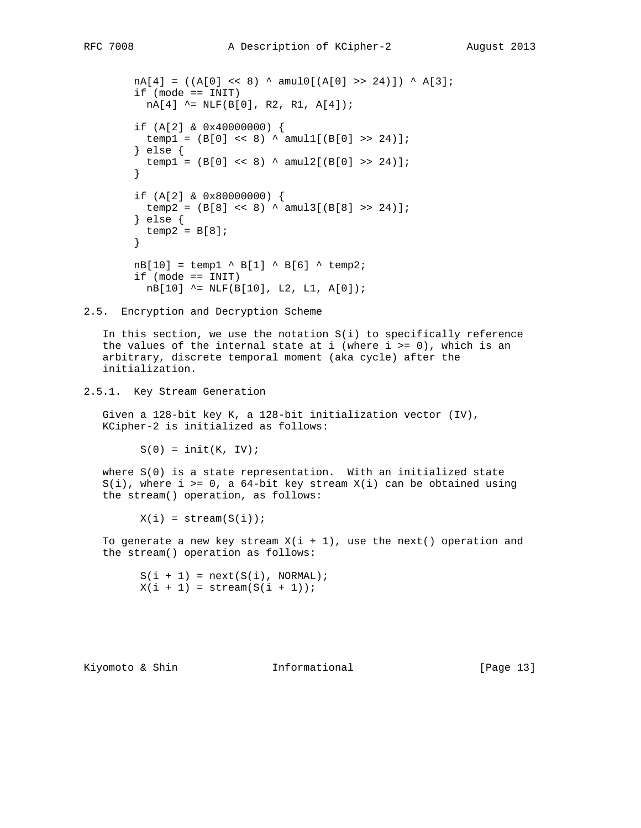```
nA[4] = ((A[0] << 8) ^ \circ \text{amul0}[(A[0] >> 24)]) ^ \circ A[3]; if (mode == INIT)
         nA[4] ^= NLF(B[0], R2, R1, A[4]);
 if (A[2] & 0x40000000) {
temp1 = (B[0] << 8) ^ amul1[(B[0] >> 24)];
        } else {
        temp1 = (B[0] << 8) \land amul2[(B[0] >> 24)];
 }
 if (A[2] & 0x80000000) {
temp2 = (B[8] << 8) ^ amul3[(B[8] >> 24)];
        } else {
         temp2 = B[8]; }
       nB[10] = temp1 ^ B[1] ^ B[6] ^ temp2;
        if (mode == INIT)
          nB[10] ^= NLF(B[10], L2, L1, A[0]);
```
2.5. Encryption and Decryption Scheme

 In this section, we use the notation S(i) to specifically reference the values of the internal state at i (where  $i \ge 0$ ), which is an arbitrary, discrete temporal moment (aka cycle) after the initialization.

### 2.5.1. Key Stream Generation

 Given a 128-bit key K, a 128-bit initialization vector (IV), KCipher-2 is initialized as follows:

 $S(0) = init(K, IV);$ 

 where S(0) is a state representation. With an initialized state  $S(i)$ , where i >= 0, a 64-bit key stream  $X(i)$  can be obtained using the stream() operation, as follows:

 $X(i) = stream(S(i));$ 

To generate a new key stream  $X(i + 1)$ , use the next() operation and the stream() operation as follows:

 $S(i + 1) = next(S(i), NORMAL);$  $X(i + 1) = stream(S(i + 1));$ 

Kiyomoto & Shin **Informational** [Page 13]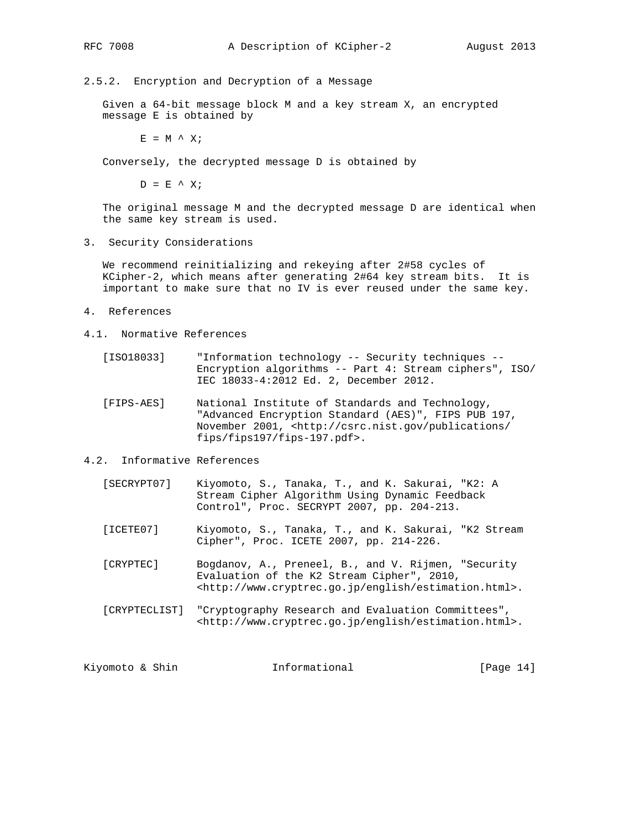#### 2.5.2. Encryption and Decryption of a Message

 Given a 64-bit message block M and a key stream X, an encrypted message E is obtained by

 $E = M^{\wedge} X;$ 

Conversely, the decrypted message D is obtained by

 $D = E^{\prime} X;$ 

 The original message M and the decrypted message D are identical when the same key stream is used.

3. Security Considerations

 We recommend reinitializing and rekeying after 2#58 cycles of KCipher-2, which means after generating 2#64 key stream bits. It is important to make sure that no IV is ever reused under the same key.

- 4. References
- 4.1. Normative References
- [ISO18033] "Information technology -- Security techniques -- Encryption algorithms -- Part 4: Stream ciphers", ISO/ IEC 18033-4:2012 Ed. 2, December 2012.
	- [FIPS-AES] National Institute of Standards and Technology, "Advanced Encryption Standard (AES)", FIPS PUB 197, November 2001, <http://csrc.nist.gov/publications/ fips/fips197/fips-197.pdf>.
- 4.2. Informative References
	- [SECRYPT07] Kiyomoto, S., Tanaka, T., and K. Sakurai, "K2: A Stream Cipher Algorithm Using Dynamic Feedback Control", Proc. SECRYPT 2007, pp. 204-213.
	- [ICETE07] Kiyomoto, S., Tanaka, T., and K. Sakurai, "K2 Stream Cipher", Proc. ICETE 2007, pp. 214-226.
	- [CRYPTEC] Bogdanov, A., Preneel, B., and V. Rijmen, "Security Evaluation of the K2 Stream Cipher", 2010, <http://www.cryptrec.go.jp/english/estimation.html>.
	- [CRYPTECLIST] "Cryptography Research and Evaluation Committees", <http://www.cryptrec.go.jp/english/estimation.html>.

Kiyomoto & Shin  $I_n$  Informational [Page 14]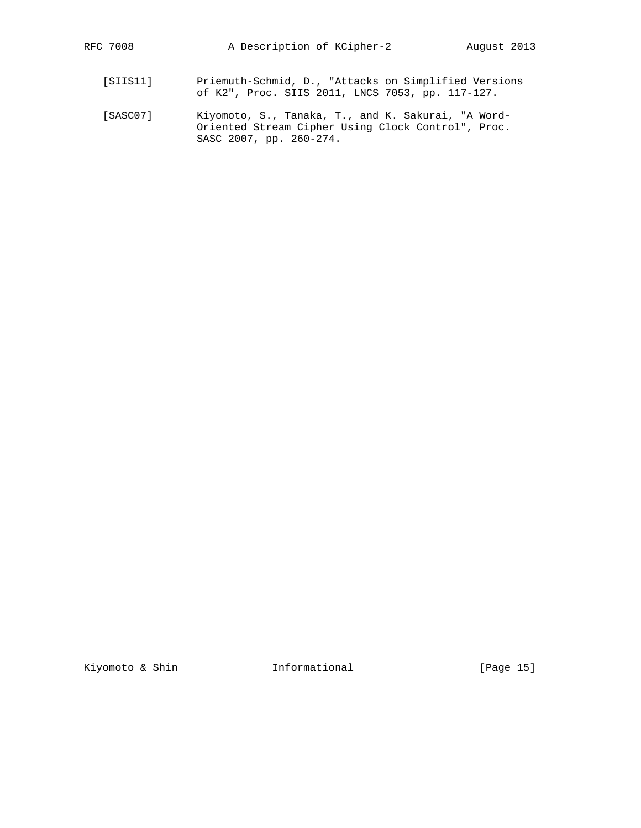- [SIIS11] Priemuth-Schmid, D., "Attacks on Simplified Versions of K2", Proc. SIIS 2011, LNCS 7053, pp. 117-127.
- [SASC07] Kiyomoto, S., Tanaka, T., and K. Sakurai, "A Word- Oriented Stream Cipher Using Clock Control", Proc. SASC 2007, pp. 260-274.

Kiyomoto & Shin **Informational** [Page 15]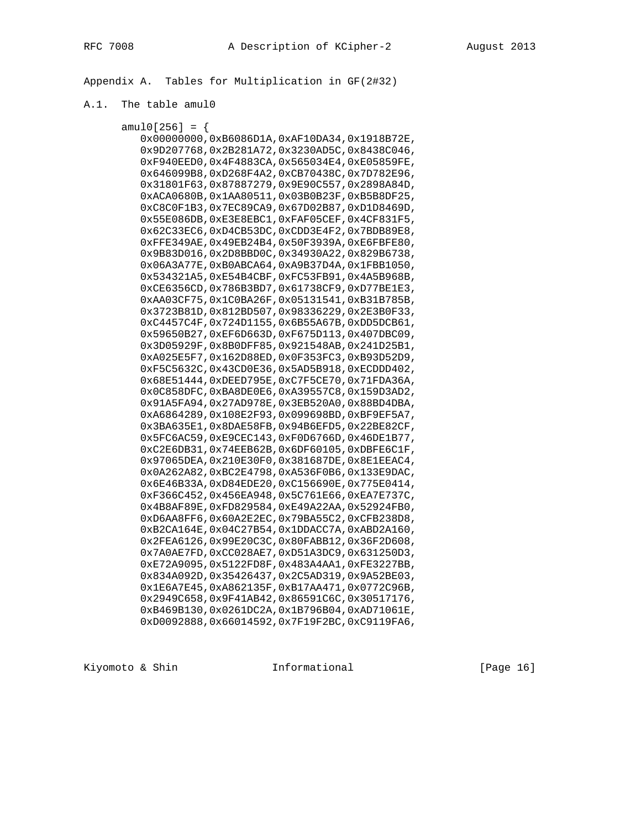Appendix A. Tables for Multiplication in GF(2#32)

# A.1. The table amul0

| amul0[256] = {                                    |  |
|---------------------------------------------------|--|
| 0x00000000,0xB6086D1A,0xAF10DA34,0x1918B72E,      |  |
| 0x9D207768,0x2B281A72,0x3230AD5C,0x8438C046,      |  |
| OXF940EED0, 0x4F4883CA, 0x565034E4, 0xE05859FE,   |  |
| 0x646099B8,0xD268F4A2,0xCB70438C,0x7D782E96,      |  |
| 0x31801F63,0x87887279,0x9E90C557,0x2898A84D,      |  |
| 0xACA0680B, 0x1AA80511, 0x03B0B23F, 0xB5B8DF25,   |  |
| 0xC8C0F1B3,0x7EC89CA9,0x67D02B87,0xD1D8469D,      |  |
| 0x55E086DB, 0xE3E8EBC1, 0xFAF05CEF, 0x4CF831F5,   |  |
| 0x62C33EC6,0xD4CB53DC,0xCDD3E4F2,0x7BDB89E8,      |  |
| OXFFE349AE, 0x49EB24B4, 0x50F3939A, 0xE6FBFE80,   |  |
| 0x9B83D016, 0x2D8BBD0C, 0x34930A22, 0x829B6738,   |  |
| 0x06A3A77E, 0xB0ABCA64, 0xA9B37D4A, 0x1FBB1050,   |  |
| 0x534321A5, 0xE54B4CBF, 0xFC53FB91, 0x4A5B968B,   |  |
| 0xCE6356CD, 0x786B3BD7, 0x61738CF9, 0xD77BE1E3,   |  |
| 0xAA03CF75, 0x1C0BA26F, 0x05131541, 0xB31B785B,   |  |
| 0x3723B81D, 0x812BD507, 0x98336229, 0x2E3B0F33,   |  |
| 0xC4457C4F, 0x724D1155, 0x6B55A67B, 0xDD5DCB61,   |  |
| 0x59650B27,0xEF6D663D,0xF675D113,0x407DBC09,      |  |
| 0x3D05929F, 0x8B0DFF85, 0x921548AB, 0x241D25B1,   |  |
| 0xA025E5F7,0x162D88ED,0x0F353FC3,0xB93D52D9,      |  |
| 0xF5C5632C, 0x43CD0E36, 0x5AD5B918, 0xECDDD402,   |  |
| 0x68E51444,0xDEED795E,0xC7F5CE70,0x71FDA36A,      |  |
| 0x0C858DFC, 0xBA8DE0E6, 0xA39557C8, 0x159D3AD2,   |  |
| 0x91A5FA94,0x27AD978E,0x3EB520A0,0x88BD4DBA,      |  |
| 0xA6864289,0x108E2F93,0x099698BD,0xBF9EF5A7,      |  |
| 0x3BA635E1,0x8DAE58FB,0x94B6EFD5,0x22BE82CF,      |  |
| 0x5FC6AC59,0xE9CEC143,0xF0D6766D,0x46DE1B77,      |  |
| 0xC2E6DB31,0x74EEB62B,0x6DF60105,0xDBFE6C1F,      |  |
| 0x97065DEA, 0x210E30F0, 0x381687DE, 0x8E1EEAC4,   |  |
| 0x0A262A82,0xBC2E4798,0xA536F0B6,0x133E9DAC,      |  |
| 0x6E46B33A, 0xD84EDE20, 0xC156690E, 0x775E0414,   |  |
| 0xF366C452,0x456EA948,0x5C761E66,0xEA7E737C,      |  |
| 0x4B8AF89E, 0xFD829584, 0xE49A22AA, 0x52924FB0,   |  |
| 0xD6AA8FF6, 0x60A2E2EC, 0x79BA55C2, 0xCFB238D8,   |  |
| 0xB2CA164E, 0x04C27B54, 0x1DDACC7A, 0xABD2A160,   |  |
| 0x2FEA6126,0x99E20C3C,0x80FABB12,0x36F2D608,      |  |
| 0x7A0AE7FD, 0xCC028AE7, 0xD51A3DC9, 0x631250D3,   |  |
| 0xE72A9095, 0x5122FD8F, 0x483A4AA1, 0xFE3227BB,   |  |
| 0x834A092D, 0x35426437, 0x2C5AD319, 0x9A52BE03,   |  |
| 0x1E6A7E45, 0xA862135F, 0xB17AA471, 0x0772C96B,   |  |
| 0x2949C658,0x9F41AB42,0x86591C6C,0x30517176,      |  |
| $0xB469B130, 0x0261DC2A, 0x1B796B04, 0xAD71061E,$ |  |
| 0xD0092888,0x66014592,0x7F19F2BC,0xC9119FA6,      |  |
|                                                   |  |

Kiyomoto & Shin **Informational** [Page 16]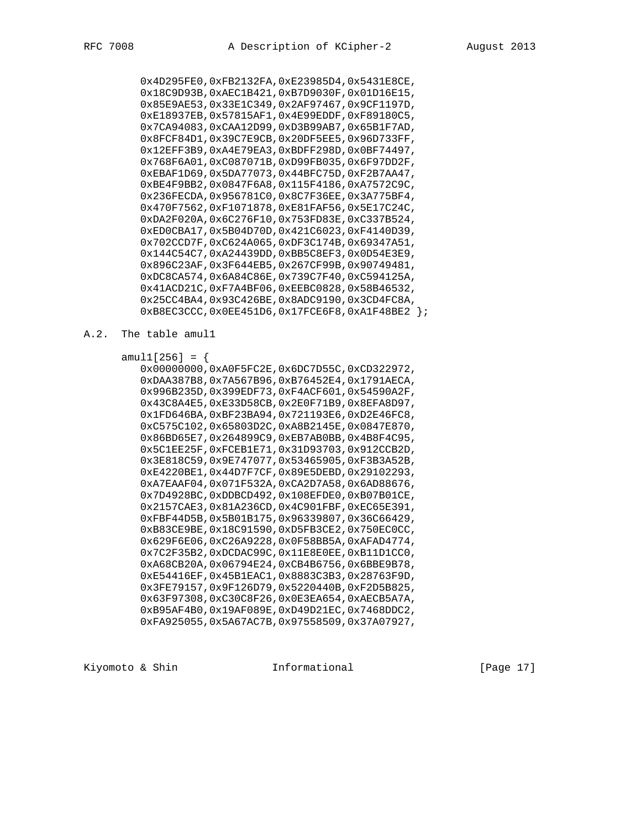0x4D295FE0,0xFB2132FA,0xE23985D4,0x5431E8CE, 0x18C9D93B,0xAEC1B421,0xB7D9030F,0x01D16E15, 0x85E9AE53,0x33E1C349,0x2AF97467,0x9CF1197D, 0xE18937EB,0x57815AF1,0x4E99EDDF,0xF89180C5, 0x7CA94083,0xCAA12D99,0xD3B99AB7,0x65B1F7AD, 0x8FCF84D1,0x39C7E9CB,0x20DF5EE5,0x96D733FF, 0x12EFF3B9,0xA4E79EA3,0xBDFF298D,0x0BF74497, 0x768F6A01,0xC087071B,0xD99FB035,0x6F97DD2F, 0xEBAF1D69,0x5DA77073,0x44BFC75D,0xF2B7AA47, 0xBE4F9BB2,0x0847F6A8,0x115F4186,0xA7572C9C, 0x236FECDA,0x956781C0,0x8C7F36EE,0x3A775BF4, 0x470F7562,0xF1071878,0xE81FAF56,0x5E17C24C, 0xDA2F020A,0x6C276F10,0x753FD83E,0xC337B524, 0xED0CBA17,0x5B04D70D,0x421C6023,0xF4140D39, 0x702CCD7F,0xC624A065,0xDF3C174B,0x69347A51, 0x144C54C7,0xA24439DD,0xBB5C8EF3,0x0D54E3E9, 0x896C23AF,0x3F644EB5,0x267CF99B,0x90749481, 0xDC8CA574,0x6A84C86E,0x739C7F40,0xC594125A, 0x41ACD21C,0xF7A4BF06,0xEEBC0828,0x58B46532, 0x25CC4BA4,0x93C426BE,0x8ADC9190,0x3CD4FC8A, 0xB8EC3CCC,0x0EE451D6,0x17FCE6F8,0xA1F48BE2 };

#### A.2. The table amul1

 $amull[256] = {$  0x00000000,0xA0F5FC2E,0x6DC7D55C,0xCD322972, 0xDAA387B8,0x7A567B96,0xB76452E4,0x1791AECA, 0x996B235D,0x399EDF73,0xF4ACF601,0x54590A2F, 0x43C8A4E5,0xE33D58CB,0x2E0F71B9,0x8EFA8D97, 0x1FD646BA,0xBF23BA94,0x721193E6,0xD2E46FC8, 0xC575C102,0x65803D2C,0xA8B2145E,0x0847E870, 0x86BD65E7,0x264899C9,0xEB7AB0BB,0x4B8F4C95, 0x5C1EE25F,0xFCEB1E71,0x31D93703,0x912CCB2D, 0x3E818C59,0x9E747077,0x53465905,0xF3B3A52B, 0xE4220BE1,0x44D7F7CF,0x89E5DEBD,0x29102293, 0xA7EAAF04,0x071F532A,0xCA2D7A58,0x6AD88676, 0x7D4928BC,0xDDBCD492,0x108EFDE0,0xB07B01CE, 0x2157CAE3,0x81A236CD,0x4C901FBF,0xEC65E391, 0xFBF44D5B,0x5B01B175,0x96339807,0x36C66429, 0xB83CE9BE,0x18C91590,0xD5FB3CE2,0x750EC0CC, 0x629F6E06,0xC26A9228,0x0F58BB5A,0xAFAD4774, 0x7C2F35B2,0xDCDAC99C,0x11E8E0EE,0xB11D1CC0, 0xA68CB20A,0x06794E24,0xCB4B6756,0x6BBE9B78, 0xE54416EF,0x45B1EAC1,0x8883C3B3,0x28763F9D, 0x3FE79157,0x9F126D79,0x5220440B,0xF2D5B825, 0x63F97308,0xC30C8F26,0x0E3EA654,0xAECB5A7A, 0xB95AF4B0,0x19AF089E,0xD49D21EC,0x7468DDC2, 0xFA925055,0x5A67AC7B,0x97558509,0x37A07927,

Kiyomoto & Shin **Informational** [Page 17]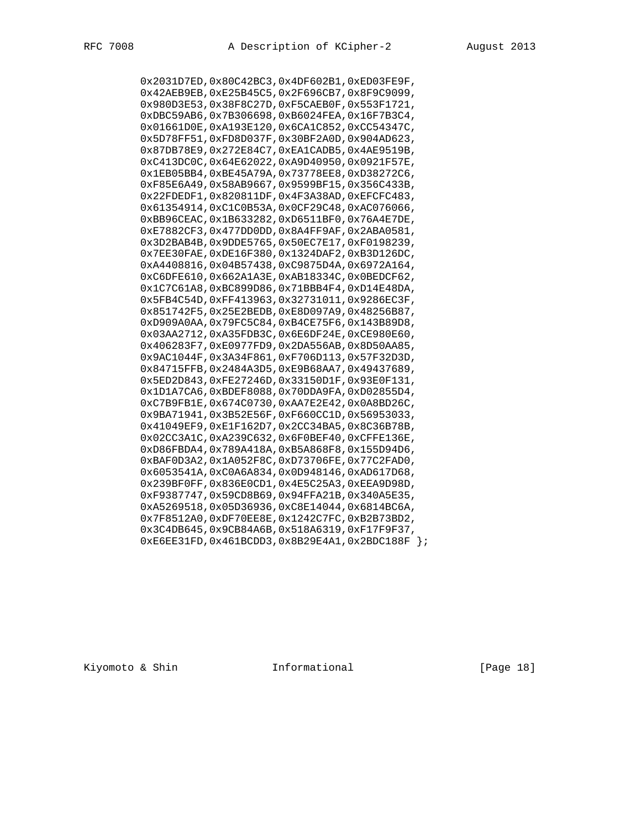0x2031D7ED,0x80C42BC3,0x4DF602B1,0xED03FE9F, 0x42AEB9EB,0xE25B45C5,0x2F696CB7,0x8F9C9099, 0x980D3E53,0x38F8C27D,0xF5CAEB0F,0x553F1721, 0xDBC59AB6,0x7B306698,0xB6024FEA,0x16F7B3C4, 0x01661D0E,0xA193E120,0x6CA1C852,0xCC54347C, 0x5D78FF51,0xFD8D037F,0x30BF2A0D,0x904AD623, 0x87DB78E9,0x272E84C7,0xEA1CADB5,0x4AE9519B, 0xC413DC0C,0x64E62022,0xA9D40950,0x0921F57E, 0x1EB05BB4,0xBE45A79A,0x73778EE8,0xD38272C6, 0xF85E6A49,0x58AB9667,0x9599BF15,0x356C433B, 0x22FDEDF1,0x820811DF,0x4F3A38AD,0xEFCFC483, 0x61354914,0xC1C0B53A,0x0CF29C48,0xAC076066, 0xBB96CEAC,0x1B633282,0xD6511BF0,0x76A4E7DE, 0xE7882CF3,0x477DD0DD,0x8A4FF9AF,0x2ABA0581, 0x3D2BAB4B,0x9DDE5765,0x50EC7E17,0xF0198239, 0x7EE30FAE,0xDE16F380,0x1324DAF2,0xB3D126DC, 0xA4408816,0x04B57438,0xC9875D4A,0x6972A164, 0xC6DFE610,0x662A1A3E,0xAB18334C,0x0BEDCF62, 0x1C7C61A8,0xBC899D86,0x71BBB4F4,0xD14E48DA, 0x5FB4C54D,0xFF413963,0x32731011,0x9286EC3F, 0x851742F5,0x25E2BEDB,0xE8D097A9,0x48256B87, 0xD909A0AA,0x79FC5C84,0xB4CE75F6,0x143B89D8, 0x03AA2712,0xA35FDB3C,0x6E6DF24E,0xCE980E60, 0x406283F7,0xE0977FD9,0x2DA556AB,0x8D50AA85, 0x9AC1044F,0x3A34F861,0xF706D113,0x57F32D3D, 0x84715FFB,0x2484A3D5,0xE9B68AA7,0x49437689, 0x5ED2D843,0xFE27246D,0x33150D1F,0x93E0F131, 0x1D1A7CA6,0xBDEF8088,0x70DDA9FA,0xD02855D4, 0xC7B9FB1E,0x674C0730,0xAA7E2E42,0x0A8BD26C, 0x9BA71941,0x3B52E56F,0xF660CC1D,0x56953033, 0x41049EF9,0xE1F162D7,0x2CC34BA5,0x8C36B78B, 0x02CC3A1C,0xA239C632,0x6F0BEF40,0xCFFE136E, 0xD86FBDA4,0x789A418A,0xB5A868F8,0x155D94D6, 0xBAF0D3A2,0x1A052F8C,0xD73706FE,0x77C2FAD0, 0x6053541A,0xC0A6A834,0x0D948146,0xAD617D68, 0x239BF0FF,0x836E0CD1,0x4E5C25A3,0xEEA9D98D, 0xF9387747,0x59CD8B69,0x94FFA21B,0x340A5E35, 0xA5269518,0x05D36936,0xC8E14044,0x6814BC6A, 0x7F8512A0,0xDF70EE8E,0x1242C7FC,0xB2B73BD2, 0x3C4DB645,0x9CB84A6B,0x518A6319,0xF17F9F37, 0xE6EE31FD,0x461BCDD3,0x8B29E4A1,0x2BDC188F };

Kiyomoto & Shin **Informational** [Page 18]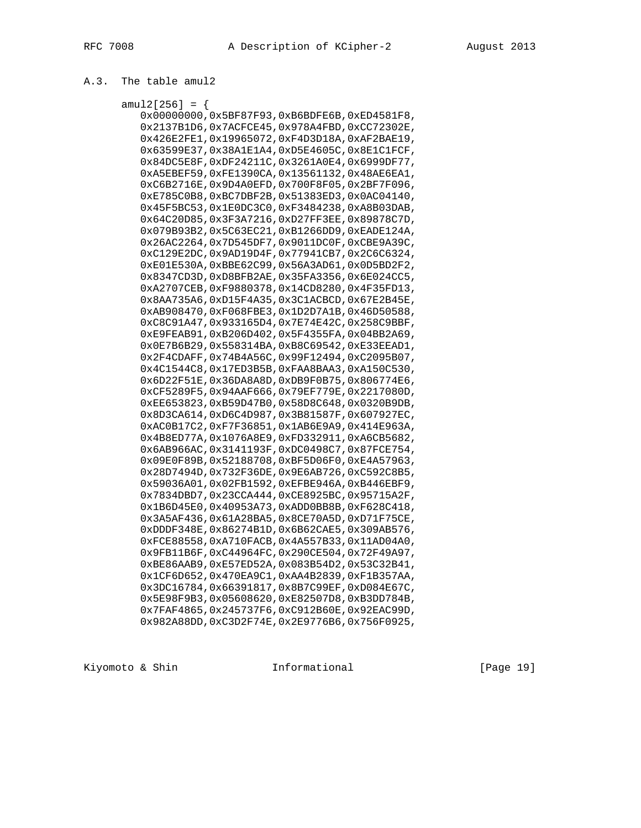# A.3. The table amul2

| amul2[256] = {                                              |  |
|-------------------------------------------------------------|--|
| $0x000000000, 0x5BF87F93, 0xB6BDFE6B, 0xED4581F8,$          |  |
| $0x2137B1D6$ , $0x7ACFCE45$ , $0x978A4FBD$ , $0xCC72302E$ , |  |
| 0x426E2FE1,0x19965072,0xF4D3D18A,0xAF2BAE19,                |  |
| $0x63599E37, 0x38A1E1A4, 0xD5E4605C, 0x8E1C1FCF,$           |  |
| 0x84DC5E8F, 0xDF24211C, 0x3261A0E4, 0x6999DF77,             |  |
| 0xA5EBEF59,0xFE1390CA,0x13561132,0x48AE6EA1,                |  |
| 0xC6B2716E, 0x9D4A0EFD, 0x700F8F05, 0x2BF7F096,             |  |
| 0xE785C0B8,0xBC7DBF2B,0x51383ED3,0x0AC04140,                |  |
| 0x45F5BC53,0x1E0DC3C0,0xF3484238,0xA8B03DAB,                |  |
| 0x64C20D85, 0x3F3A7216, 0xD27FF3EE, 0x89878C7D,             |  |
| 0x079B93B2,0x5C63EC21,0xB1266DD9,0xEADE124A,                |  |
| 0x26AC2264,0x7D545DF7,0x9011DC0F,0xCBE9A39C,                |  |
| 0xC129E2DC, 0x9AD19D4F, 0x77941CB7, 0x2C6C6324,             |  |
| 0xE01E530A, 0xBBE62C99, 0x56A3AD61, 0x0D5BD2F2,             |  |
| 0x8347CD3D, 0xD8BFB2AE, 0x35FA3356, 0x6E024CC5,             |  |
| 0xA2707CEB, 0xF9880378, 0x14CD8280, 0x4F35FD13,             |  |
| 0x8AA735A6, 0xD15F4A35, 0x3C1ACBCD, 0x67E2B45E,             |  |
| 0xAB908470,0xF068FBE3,0x1D2D7A1B,0x46D50588,                |  |
| 0xC8C91A47,0x933165D4,0x7E74E42C,0x258C9BBF,                |  |
| 0xE9FEAB91, 0xB206D402, 0x5F4355FA, 0x04BB2A69,             |  |
| 0x0E7B6B29, 0x558314BA, 0xB8C69542, 0xE33EEAD1,             |  |
| 0x2F4CDAFF, 0x74B4A56C, 0x99F12494, 0xC2095B07,             |  |
| 0x4C1544C8, 0x17ED3B5B, 0xFAA8BAA3, 0xA150C530,             |  |
| 0x6D22F51E, 0x36DA8A8D, 0xDB9F0B75, 0x806774E6,             |  |
| 0xCF5289F5, 0x94AAF666, 0x79EF779E, 0x2217080D,             |  |
| 0xEE653823,0xB59D47B0,0x58D8C648,0x0320B9DB,                |  |
| 0x8D3CA614,0xD6C4D987,0x3B81587F,0x607927EC,                |  |
| 0xAC0B17C2,0xF7F36851,0x1AB6E9A9,0x414E963A,                |  |
| 0x4B8ED77A, 0x1076A8E9, 0xFD332911, 0xA6CB5682,             |  |
| 0x6AB966AC, 0x3141193F, 0xDC0498C7, 0x87FCE754,             |  |
| 0x09E0F89B, 0x52188708, 0xBF5D06F0, 0xE4A57963,             |  |
| 0x28D7494D, 0x732F36DE, 0x9E6AB726, 0xC592C8B5,             |  |
| 0x59036A01,0x02FB1592,0xEFBE946A,0xB446EBF9,                |  |
| 0x7834DBD7, 0x23CCA444, 0xCE8925BC, 0x95715A2F,             |  |
| 0x1B6D45E0, 0x40953A73, 0xADD0BB8B, 0xF628C418,             |  |
| 0x3A5AF436,0x61A28BA5,0x8CE70A5D,0xD71F75CE,                |  |
| 0xDDDF348E, 0x86274B1D, 0x6B62CAE5, 0x309AB576,             |  |
| 0xFCE88558, 0xA710FACB, 0x4A557B33, 0x11AD04A0,             |  |
| 0x9FB11B6F, 0xC44964FC, 0x290CE504, 0x72F49A97,             |  |
| 0xBE86AAB9, 0xE57ED52A, 0x083B54D2, 0x53C32B41,             |  |
| 0x1CF6D652,0x470EA9C1,0xAA4B2839,0xF1B357AA,                |  |
| 0x3DC16784,0x66391817,0x8B7C99EF,0xD084E67C,                |  |
| 0x5E98F9B3,0x05608620,0xE82507D8,0xB3DD784B,                |  |
| 0x7FAF4865,0x245737F6,0xC912B60E,0x92EAC99D,                |  |
| 0x982A88DD, 0xC3D2F74E, 0x2E9776B6, 0x756F0925,             |  |

Kiyomoto & Shin **Informational** [Page 19]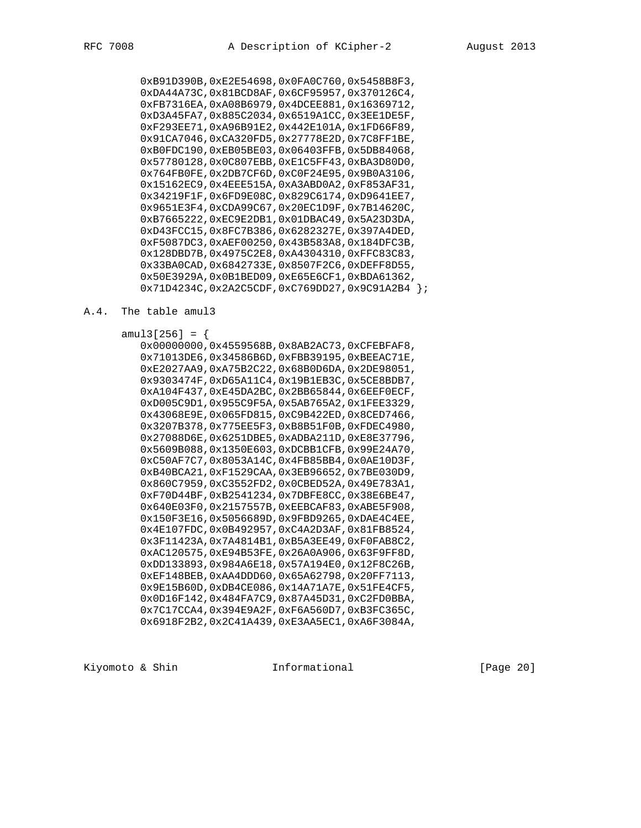0xB91D390B,0xE2E54698,0x0FA0C760,0x5458B8F3, 0xDA44A73C,0x81BCD8AF,0x6CF95957,0x370126C4, 0xFB7316EA,0xA08B6979,0x4DCEE881,0x16369712, 0xD3A45FA7,0x885C2034,0x6519A1CC,0x3EE1DE5F, 0xF293EE71,0xA96B91E2,0x442E101A,0x1FD66F89, 0x91CA7046,0xCA320FD5,0x27778E2D,0x7C8FF1BE, 0xB0FDC190,0xEB05BE03,0x06403FFB,0x5DB84068, 0x57780128,0x0C807EBB,0xE1C5FF43,0xBA3D80D0, 0x764FB0FE,0x2DB7CF6D,0xC0F24E95,0x9B0A3106, 0x15162EC9,0x4EEE515A,0xA3ABD0A2,0xF853AF31, 0x34219F1F,0x6FD9E08C,0x829C6174,0xD9641EE7, 0x9651E3F4,0xCDA99C67,0x20EC1D9F,0x7B14620C, 0xB7665222,0xEC9E2DB1,0x01DBAC49,0x5A23D3DA, 0xD43FCC15,0x8FC7B386,0x6282327E,0x397A4DED, 0xF5087DC3,0xAEF00250,0x43B583A8,0x184DFC3B, 0x128DBD7B,0x4975C2E8,0xA4304310,0xFFC83C83, 0x33BA0CAD,0x6842733E,0x8507F2C6,0xDEFF8D55, 0x50E3929A,0x0B1BED09,0xE65E6CF1,0xBDA61362, 0x71D4234C,0x2A2C5CDF,0xC769DD27,0x9C91A2B4 };

#### A.4. The table amul3

 amul3[256] = { 0x00000000,0x4559568B,0x8AB2AC73,0xCFEBFAF8, 0x71013DE6,0x34586B6D,0xFBB39195,0xBEEAC71E, 0xE2027AA9,0xA75B2C22,0x68B0D6DA,0x2DE98051, 0x9303474F,0xD65A11C4,0x19B1EB3C,0x5CE8BDB7, 0xA104F437,0xE45DA2BC,0x2BB65844,0x6EEF0ECF, 0xD005C9D1,0x955C9F5A,0x5AB765A2,0x1FEE3329, 0x43068E9E,0x065FD815,0xC9B422ED,0x8CED7466, 0x3207B378,0x775EE5F3,0xB8B51F0B,0xFDEC4980, 0x27088D6E,0x6251DBE5,0xADBA211D,0xE8E37796, 0x5609B088,0x1350E603,0xDCBB1CFB,0x99E24A70, 0xC50AF7C7,0x8053A14C,0x4FB85BB4,0x0AE10D3F, 0xB40BCA21,0xF1529CAA,0x3EB96652,0x7BE030D9, 0x860C7959,0xC3552FD2,0x0CBED52A,0x49E783A1, 0xF70D44BF,0xB2541234,0x7DBFE8CC,0x38E6BE47, 0x640E03F0,0x2157557B,0xEEBCAF83,0xABE5F908, 0x150F3E16,0x5056689D,0x9FBD9265,0xDAE4C4EE, 0x4E107FDC,0x0B492957,0xC4A2D3AF,0x81FB8524, 0x3F11423A,0x7A4814B1,0xB5A3EE49,0xF0FAB8C2, 0xAC120575,0xE94B53FE,0x26A0A906,0x63F9FF8D, 0xDD133893,0x984A6E18,0x57A194E0,0x12F8C26B, 0xEF148BEB,0xAA4DDD60,0x65A62798,0x20FF7113, 0x9E15B60D,0xDB4CE086,0x14A71A7E,0x51FE4CF5, 0x0D16F142,0x484FA7C9,0x87A45D31,0xC2FD0BBA, 0x7C17CCA4,0x394E9A2F,0xF6A560D7,0xB3FC365C, 0x6918F2B2,0x2C41A439,0xE3AA5EC1,0xA6F3084A,

Kiyomoto & Shin  $I_n$  Informational [Page 20]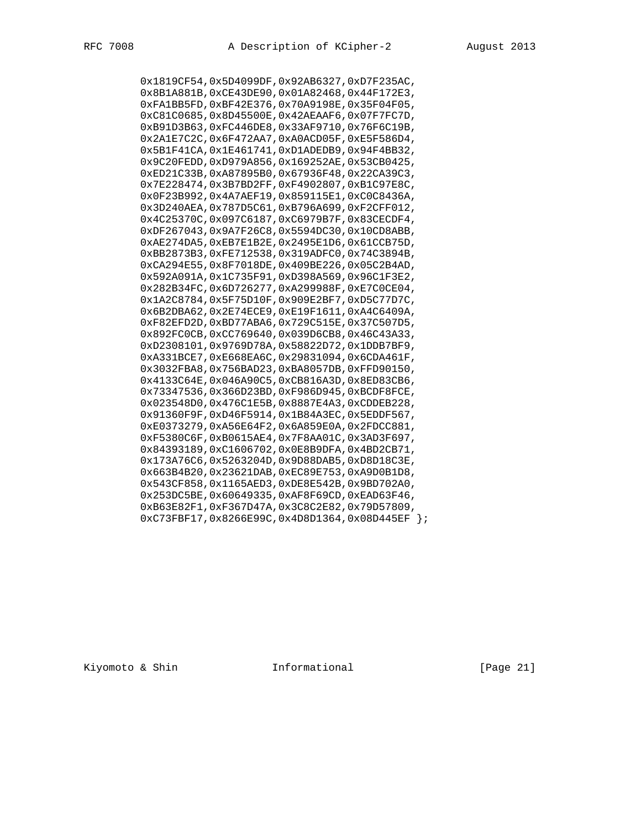0x1819CF54,0x5D4099DF,0x92AB6327,0xD7F235AC, 0x8B1A881B,0xCE43DE90,0x01A82468,0x44F172E3, 0xFA1BB5FD,0xBF42E376,0x70A9198E,0x35F04F05, 0xC81C0685,0x8D45500E,0x42AEAAF6,0x07F7FC7D, 0xB91D3B63,0xFC446DE8,0x33AF9710,0x76F6C19B, 0x2A1E7C2C,0x6F472AA7,0xA0ACD05F,0xE5F586D4, 0x5B1F41CA,0x1E461741,0xD1ADEDB9,0x94F4BB32, 0x9C20FEDD,0xD979A856,0x169252AE,0x53CB0425, 0xED21C33B,0xA87895B0,0x67936F48,0x22CA39C3, 0x7E228474,0x3B7BD2FF,0xF4902807,0xB1C97E8C, 0x0F23B992,0x4A7AEF19,0x859115E1,0xC0C8436A, 0x3D240AEA,0x787D5C61,0xB796A699,0xF2CFF012, 0x4C25370C,0x097C6187,0xC6979B7F,0x83CECDF4, 0xDF267043,0x9A7F26C8,0x5594DC30,0x10CD8ABB, 0xAE274DA5,0xEB7E1B2E,0x2495E1D6,0x61CCB75D, 0xBB2873B3,0xFE712538,0x319ADFC0,0x74C3894B, 0xCA294E55,0x8F7018DE,0x409BE226,0x05C2B4AD, 0x592A091A,0x1C735F91,0xD398A569,0x96C1F3E2, 0x282B34FC,0x6D726277,0xA299988F,0xE7C0CE04, 0x1A2C8784,0x5F75D10F,0x909E2BF7,0xD5C77D7C, 0x6B2DBA62,0x2E74ECE9,0xE19F1611,0xA4C6409A, 0xF82EFD2D,0xBD77ABA6,0x729C515E,0x37C507D5, 0x892FC0CB,0xCC769640,0x039D6CB8,0x46C43A33, 0xD2308101,0x9769D78A,0x58822D72,0x1DDB7BF9, 0xA331BCE7,0xE668EA6C,0x29831094,0x6CDA461F, 0x3032FBA8,0x756BAD23,0xBA8057DB,0xFFD90150, 0x4133C64E,0x046A90C5,0xCB816A3D,0x8ED83CB6, 0x73347536,0x366D23BD,0xF986D945,0xBCDF8FCE, 0x023548D0,0x476C1E5B,0x8887E4A3,0xCDDEB228, 0x91360F9F,0xD46F5914,0x1B84A3EC,0x5EDDF567, 0xE0373279,0xA56E64F2,0x6A859E0A,0x2FDCC881, 0xF5380C6F,0xB0615AE4,0x7F8AA01C,0x3AD3F697, 0x84393189,0xC1606702,0x0E8B9DFA,0x4BD2CB71, 0x173A76C6,0x5263204D,0x9D88DAB5,0xD8D18C3E, 0x663B4B20,0x23621DAB,0xEC89E753,0xA9D0B1D8, 0x543CF858,0x1165AED3,0xDE8E542B,0x9BD702A0, 0x253DC5BE,0x60649335,0xAF8F69CD,0xEAD63F46, 0xB63E82F1,0xF367D47A,0x3C8C2E82,0x79D57809, 0xC73FBF17,0x8266E99C,0x4D8D1364,0x08D445EF };

Kiyomoto & Shin **Informational** [Page 21]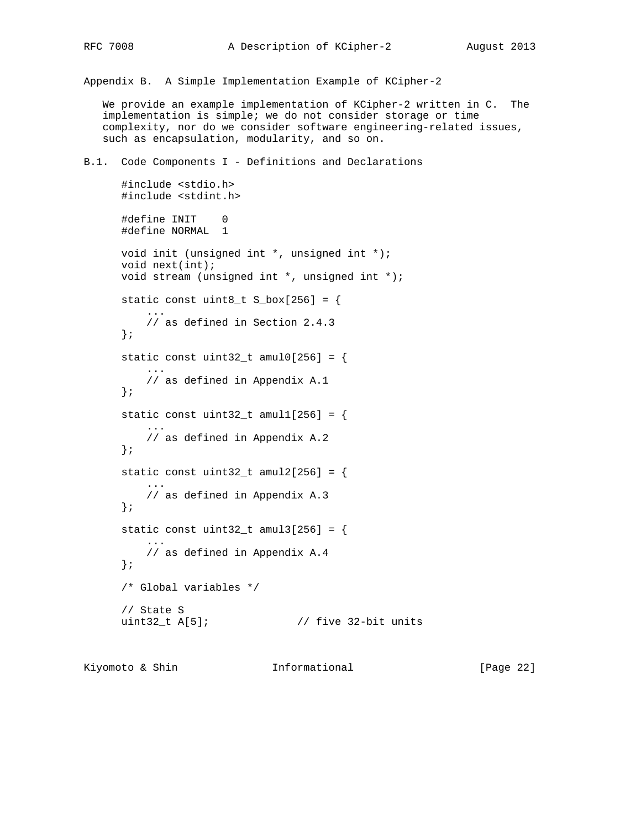Appendix B. A Simple Implementation Example of KCipher-2

 We provide an example implementation of KCipher-2 written in C. The implementation is simple; we do not consider storage or time complexity, nor do we consider software engineering-related issues, such as encapsulation, modularity, and so on.

B.1. Code Components I - Definitions and Declarations

```
 #include <stdio.h>
      #include <stdint.h>
      #define INIT 0
      #define NORMAL 1
      void init (unsigned int *, unsigned int *);
      void next(int);
      void stream (unsigned int *, unsigned int *);
     static const uint8_t S_box[256] = {
 ...
          // as defined in Section 2.4.3
      };
     static const uint32_t amul0[256] = {
 ...
          // as defined in Appendix A.1
      };
     static const uint32_t amul1[256] = {
 ...
          // as defined in Appendix A.2
      };
     static const uint32_t amul2[256] = {
 ...
          // as defined in Appendix A.3
      };
     static const uint32_t amul3[256] = {
 ...
          // as defined in Appendix A.4
      };
      /* Global variables */
      // State S
      uint32_t A[5]; // five 32-bit units
```
Kiyomoto & Shin  $I_n$  Informational [Page 22]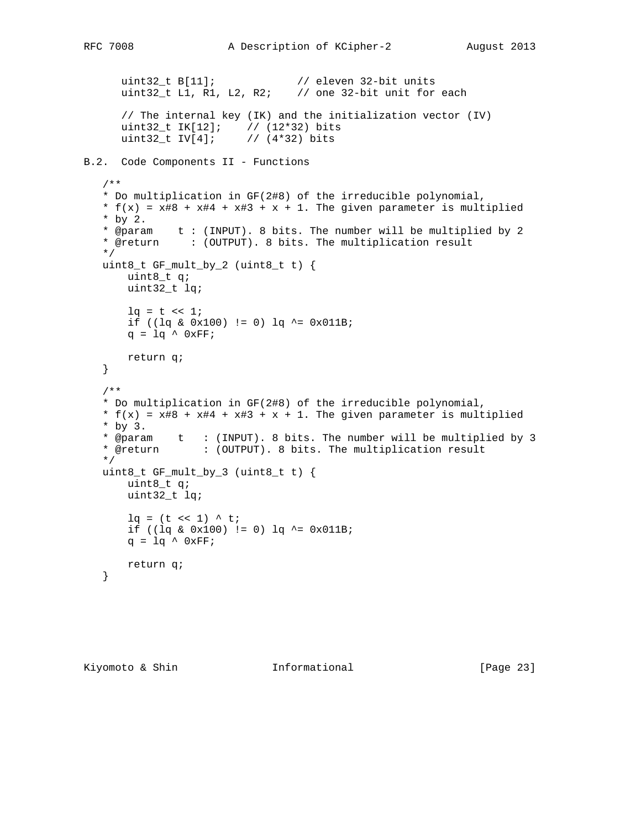```
 uint32_t B[11]; // eleven 32-bit units
     uint32<sub>_</sub>t L1, R1, L2, R2; \frac{1}{2} one 32-bit unit for each
       // The internal key (IK) and the initialization vector (IV)
      uint32_t IK[12]; // (12*32) bits
      uint32_t IV[4]; // (4*32) bits
B.2. Code Components II - Functions
   /**
    * Do multiplication in GF(2#8) of the irreducible polynomial,
   * f(x) = x#8 + x#4 + x#3 + x + 1. The given parameter is multiplied
    * by 2.
 * @param t : (INPUT). 8 bits. The number will be multiplied by 2
 * @return : (OUTPUT). 8 bits. The multiplication result
    */
   uint8_t GF_mult_by_2 (uint8_t t) {
       uint8_t q;
       uint32_t lq;
      lq = t \ll 1;if ((\lg \& 0x100) != 0) \lg \sim 0x011B;
      q = 1q \land 0xFF; return q;
    }
    /**
    * Do multiplication in GF(2#8) of the irreducible polynomial,
   * f(x) = x#8 + x#4 + x#3 + x + 1. The given parameter is multiplied
    * by 3.
    * @param t : (INPUT). 8 bits. The number will be multiplied by 3
    * @return : (OUTPUT). 8 bits. The multiplication result
    */
   uint8_t GF_mult_by_3 (uint8_t t) {
       uint8_t q;
       uint32_t lq;
      lq = (t \ll 1) \land tiif ((\lg \& 0x100) != 0) \lg \sim 0x011B;
      q = lq \land 0xFF; return q;
    }
```
Kiyomoto & Shin **Informational** [Page 23]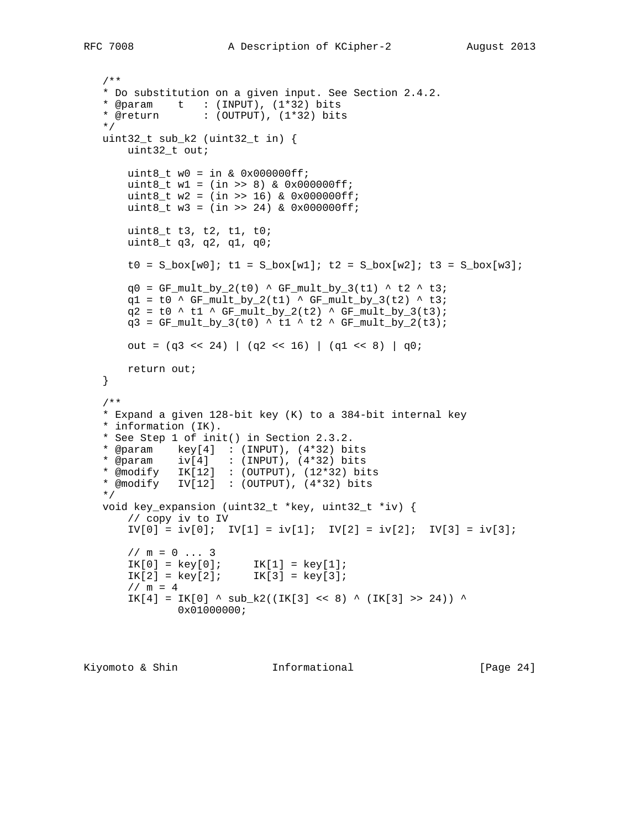```
 /**
   * Do substitution on a given input. See Section 2.4.2.
 * @param t : (INPUT), (1*32) bits
 * @return : (OUTPUT), (1*32) bits
   */
   uint32_t sub_k2 (uint32_t in) {
       uint32_t out;
      uint8_t w0 = in & 0x000000ff;
      uint8_t w1 = (in >> 8) & 0x000000ff; uint8_t w2 = (in >> 16) & 0x000000ff;
      uint8_t w3 = (in \gg 24) & 0x000000ff; uint8_t t3, t2, t1, t0;
       uint8_t q3, q2, q1, q0;
      t0 = S_b\text{box}[w0]; t1 = S_b\text{box}[w1]; t2 = S_b\text{box}[w2]; t3 = S_b\text{box}[w3];q0 = GF_mult_by_2(t0) ^ GF_mult_by_3(t1) ^ t2 ^ t3;
      q1 = t0 ^ GF_mult_by_2(t1) ^ GF_mult_by_3(t2) ^ t3;
       q2 = t0 ^ t1 ^ GF_mult_by_2(t2) ^ GF_mult_by_3(t3);
      q3 = GF_mult_by_3(t0) ^ t1 ^ t2 ^ GF_mult_by_2(t3);
      out = (q3 \ll 24) | (q2 \ll 16) | (q1 \ll 8) | q0;
       return out;
   }
```

```
 /**
   * Expand a given 128-bit key (K) to a 384-bit internal key
   * information (IK).
   * See Step 1 of init() in Section 2.3.2.
   * @param key[4] : (INPUT), (4*32) bits
   * @param iv[4] : (INPUT), (4*32) bits
   * @modify IK[12] : (OUTPUT), (12*32) bits
   * @modify IV[12] : (OUTPUT), (4*32) bits
   */
   void key_expansion (uint32_t *key, uint32_t *iv) {
       // copy iv to IV
      IV[0] = iv[0]; IV[1] = iv[1]; IV[2] = iv[2]; IV[3] = iv[3];1 / m = 0 ... 3IK[0] = key[0]; IK[1] = key[1];IK[2] = key[2]; IK[3] = key[3];1 / m = 4IK[4] = IK[0] ^ sub_k2((IK[3] << 8) ^ (IK[3] >> 24)) ^
              0x01000000;
```

```
Kiyomoto & Shin Informational [Page 24]
```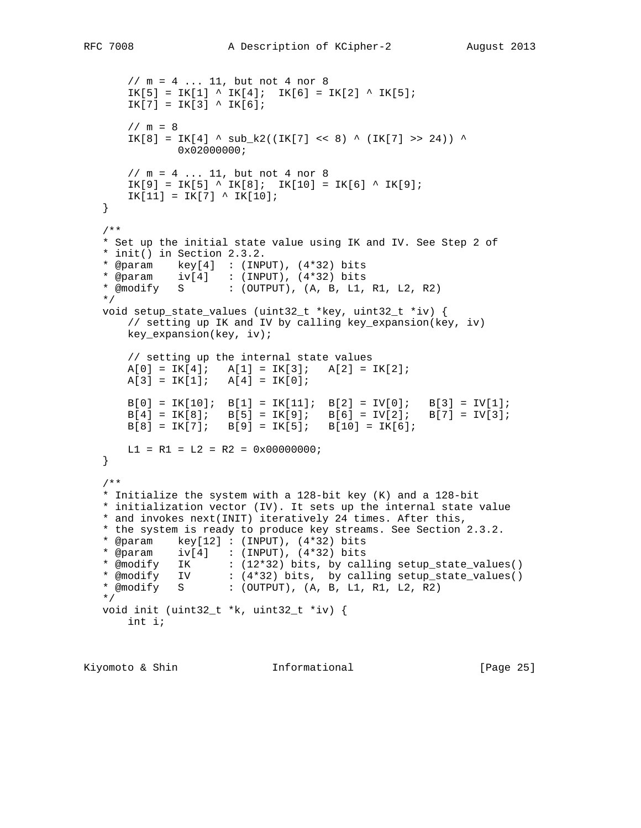```
 // m = 4 ... 11, but not 4 nor 8
      IK[5] = IK[1] \sim IK[4]; IK[6] = IK[2] \sim IK[5];IK[7] = IK[3] \wedge IK[6];
      1 / m = 8IK[8] = IK[4] \land sub_k2((IK[7] << 8) \land (IK[7] >> 24)) \land0x02000000;
       // m = 4 ... 11, but not 4 nor 8
      IK[9] = IK[5] \cdot IK[8]; IK[10] = IK[6] \cdot IK[9];IK[11] = IK[7] < IK[10]; }
   /**
   * Set up the initial state value using IK and IV. See Step 2 of
   * init() in Section 2.3.2.
   * @param key[4] : (INPUT), (4*32) bits
 * @param iv[4] : (INPUT), (4*32) bits
* @modify S : (OUTPUT), (A, B, L1, R1, L2, R2) */
   void setup_state_values (uint32_t *key, uint32_t *iv) {
       // setting up IK and IV by calling key_expansion(key, iv)
       key_expansion(key, iv);
        // setting up the internal state values
A[0] = IK[4]; \quad A[1] = IK[3]; \quad A[2] = IK[2];A[3] = IK[1]; \quad A[4] = IK[0];\texttt{B[0]} = \texttt{IK[10]}; \quad \texttt{B[1]} = \texttt{IK[11]}; \quad \texttt{B[2]} = \texttt{IV[0]}; \quad \texttt{B[3]} = \texttt{IV[1]};B[4] = IK[8]; B[5] = IK[9]; B[6] = IV[2]; B[7] = IV[3];B[8] = IK[7]; B[9] = IK[5]; B[10] = IK[6];LI = R1 = L2 = R2 = 0x00000000 }
   /**
   * Initialize the system with a 128-bit key (K) and a 128-bit
   * initialization vector (IV). It sets up the internal state value
   * and invokes next(INIT) iteratively 24 times. After this,
   * the system is ready to produce key streams. See Section 2.3.2.
   * @param key[12] : (INPUT), (4*32) bits
 * @param iv[4] : (INPUT), (4*32) bits
 * @modify IK : (12*32) bits, by calling setup_state_values()
 * @modify IV : (4*32) bits, by calling setup_state_values()
   * @modify S : (OUTPUT), (A, B, L1, R1, L2, R2)
   */
   void init (uint32_t *k, uint32_t *iv) {
        int i;
```
Kiyomoto & Shin **Informational** [Page 25]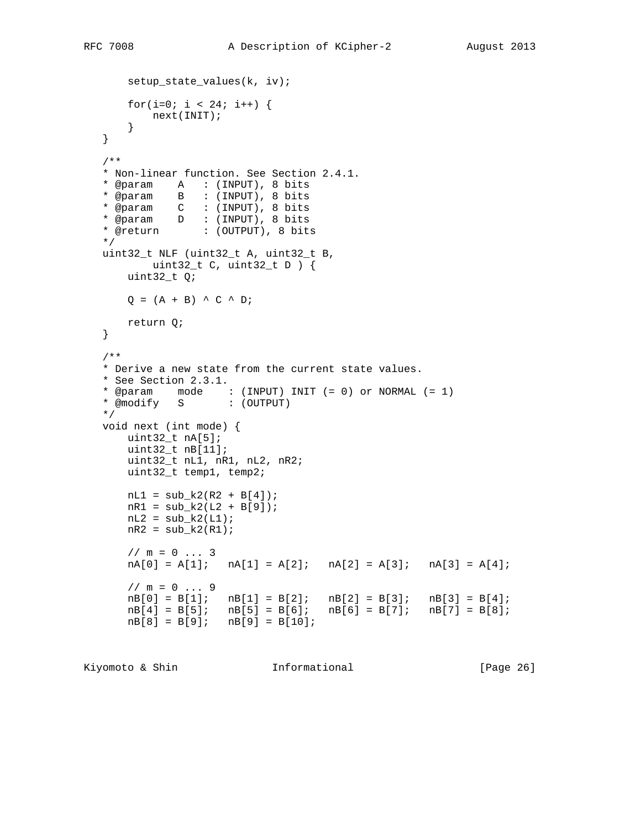```
 setup_state_values(k, iv);
      for(i=0; i < 24; i++) {
          next(INIT);
       }
   }
   /**
   * Non-linear function. See Section 2.4.1.
   * @param A : (INPUT), 8 bits
   * @param B : (INPUT), 8 bits
   * @param C : (INPUT), 8 bits
 * @param D : (INPUT), 8 bits
 * @return : (OUTPUT), 8 bits
   */
   uint32_t NLF (uint32_t A, uint32_t B,
          uint32_t C, uint32_t D ) {
       uint32_t Q;
      Q = (A + B) \wedge C \wedge D;
      return Q;
   }
   /**
   * Derive a new state from the current state values.
   * See Section 2.3.1.
 * @param mode : (INPUT) INIT (= 0) or NORMAL (= 1)
 * @modify S : (OUTPUT)
   */
   void next (int mode) {
      uint32_t nA[5];
       uint32_t nB[11];
      uint32 t nL1, nR1, nL2, nR2;
       uint32_t temp1, temp2;
      nL1 = sub_k2(R2 + B[4]);nR1 = sub_k2(L2 + B[9]);nL2 = sub_k2(L1);nR2 = sub_k2(R1);1 / m = 0 ... 3nA[0] = A[1]; nA[1] = A[2]; nA[2] = A[3]; nA[3] = A[4];1/m = 0 ... 9nB[0] = B[1]; \quad nB[1] = B[2]; \quad nB[2] = B[3]; \quad nB[3] = B[4];nB[4] = B[5]; \quad nB[5] = B[6]; \quad nB[6] = B[7]; \quad nB[7] = B[8];nB[8] = B[9]; \quad nB[9] = B[10];
```
Kiyomoto & Shin **Informational** [Page 26]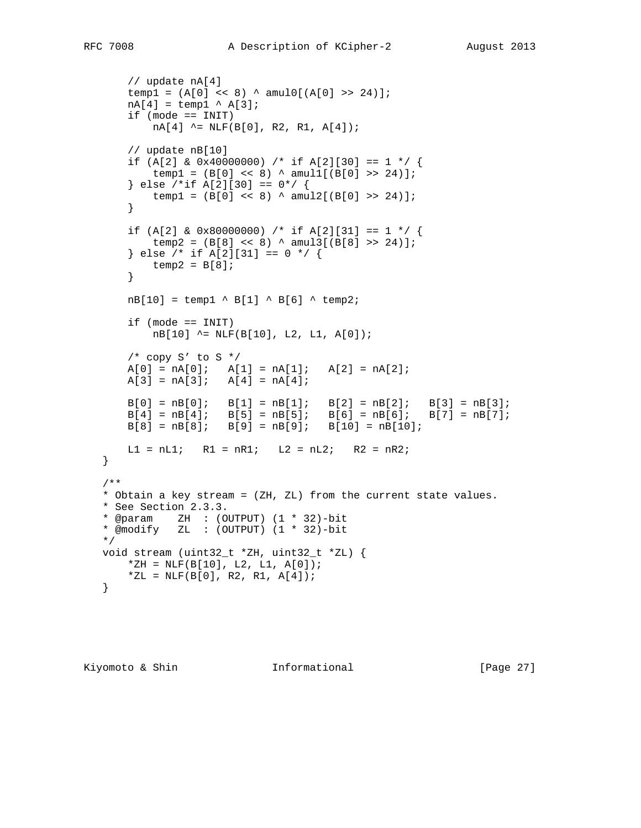```
 // update nA[4]
       temp1 = (A[0] \le 8) \land amul0[(A[0] \ge 24)];
      nA[4] = temp1 ^ A[3]; if (mode == INIT)
          nA[4] ^= NLF(B[0], R2, R1, A[4]);
        // update nB[10]
       if (A[2] & 0x40000000) /* if A[2][30] == 1 */ {
          temp1 = (B[0] << 8) \land amul1[(B[0] >> 24)];
       \} else /*if A[2][30] == 0*/ {
          temp1 = (B[0] << 8) \land amu2[(B[0] >> 24)];
        }
 if (A[2] & 0x80000000) /* if A[2][31] == 1 */ {
temp2 = (B[8] << 8) ^ amul3[(B[8] >> 24)];
        } else /* if A[2][31] == 0 */ {
         temp2 = B[8]; }
      nB[10] = temp1 ^ B[1] ^ B[6] ^ temp2;
      if (mode == INT) nB[10] ^= NLF(B[10], L2, L1, A[0]);
       /* copy S' to S */
A[0] = nA[0]; \quad A[1] = nA[1]; \quad A[2] = nA[2];A[3] = nA[3]; \quad A[4] = nA[4];B[0] = nB[0]; \quad B[1] = nB[1]; \quad B[2] = nB[2]; \quad B[3] = nB[3];B[4] = nB[4]; \quad B[5] = nB[5]; \quad B[6] = nB[6]; \quad B[7] = nB[7];B[8] = nB[8]; \quad B[9] = nB[9]; \quad B[10] = nB[10];LI = nLI; RI = nRI; L2 = nL2; R2 = nR2;
   /**
   * Obtain a key stream = (ZH, ZL) from the current state values.
   * See Section 2.3.3.
   * @param ZH : (OUTPUT) (1 * 32)-bit
   * @modify ZL : (OUTPUT) (1 * 32)-bit
   */
   void stream (uint32_t *ZH, uint32_t *ZL) {
      *ZH = NLF(B[10], L2, L1, A[0]);*ZL = NLF(B[0], R2, R1, A[4]); }
```
Kiyomoto & Shin **Informational** [Page 27]

}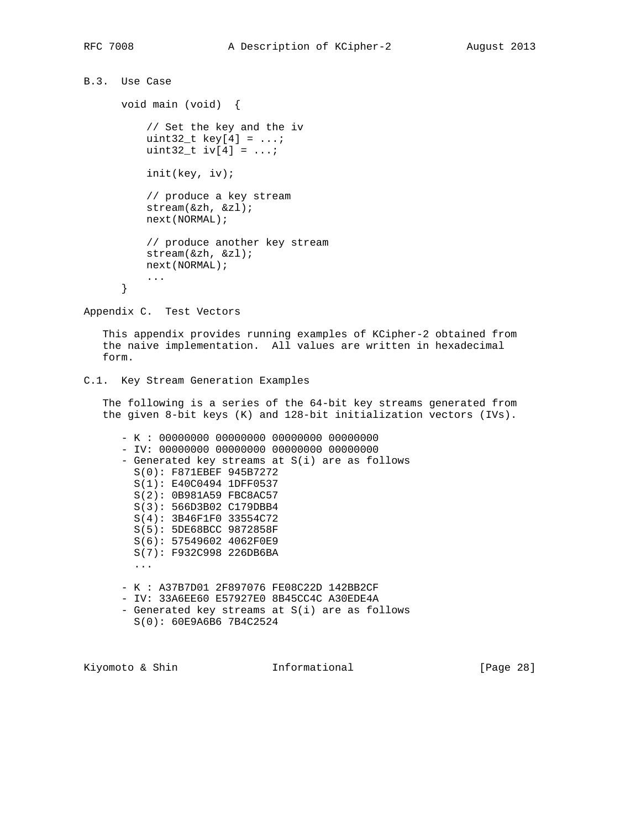```
B.3. Use Case
```

```
 void main (void) {
     // Set the key and the iv
    uint 32_t \text{ key}[4] = \ldots;uint 32_t iv[4] = ...;
     init(key, iv);
     // produce a key stream
     stream(&zh, &zl);
     next(NORMAL);
     // produce another key stream
     stream(&zh, &zl);
     next(NORMAL);
     ...
 }
```
Appendix C. Test Vectors

 This appendix provides running examples of KCipher-2 obtained from the naive implementation. All values are written in hexadecimal form.

```
C.1. Key Stream Generation Examples
```
 The following is a series of the 64-bit key streams generated from the given 8-bit keys (K) and 128-bit initialization vectors (IVs).

 - K : 00000000 00000000 00000000 00000000 - IV: 00000000 00000000 00000000 00000000 - Generated key streams at S(i) are as follows S(0): F871EBEF 945B7272 S(1): E40C0494 1DFF0537 S(2): 0B981A59 FBC8AC57 S(3): 566D3B02 C179DBB4 S(4): 3B46F1F0 33554C72 S(5): 5DE68BCC 9872858F S(6): 57549602 4062F0E9 S(7): F932C998 226DB6BA ... - K : A37B7D01 2F897076 FE08C22D 142BB2CF - IV: 33A6EE60 E57927E0 8B45CC4C A30EDE4A - Generated key streams at S(i) are as follows

S(0): 60E9A6B6 7B4C2524

Kiyomoto & Shin **Informational** [Page 28]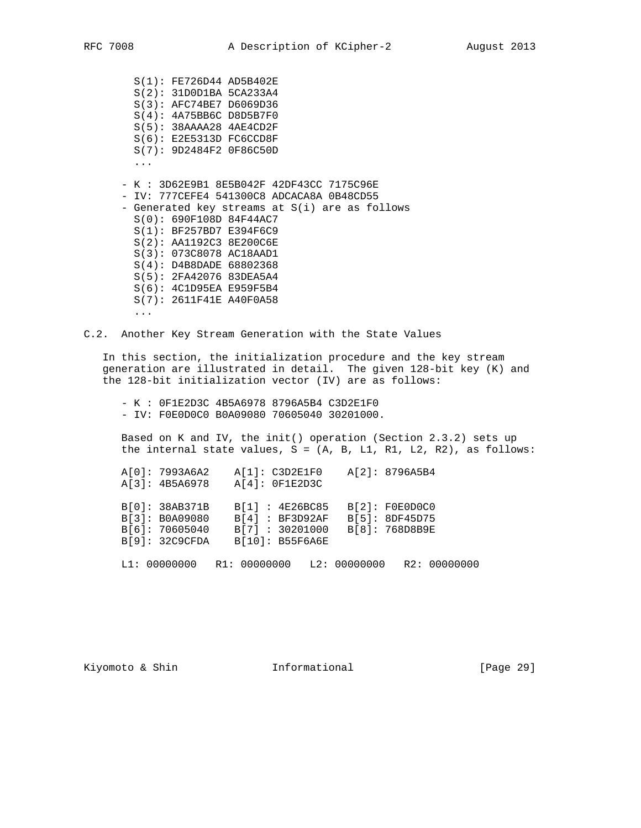S(1): FE726D44 AD5B402E S(2): 31D0D1BA 5CA233A4 S(3): AFC74BE7 D6069D36 S(4): 4A75BB6C D8D5B7F0 S(5): 38AAAA28 4AE4CD2F S(6): E2E5313D FC6CCD8F S(7): 9D2484F2 0F86C50D ... - K : 3D62E9B1 8E5B042F 42DF43CC 7175C96E - IV: 777CEFE4 541300C8 ADCACA8A 0B48CD55 - Generated key streams at S(i) are as follows S(0): 690F108D 84F44AC7 S(1): BF257BD7 E394F6C9 S(2): AA1192C3 8E200C6E S(3): 073C8078 AC18AAD1 S(4): D4B8DADE 68802368 S(5): 2FA42076 83DEA5A4 S(6): 4C1D95EA E959F5B4 S(7): 2611F41E A40F0A58 ...

C.2. Another Key Stream Generation with the State Values

 In this section, the initialization procedure and the key stream generation are illustrated in detail. The given 128-bit key (K) and the 128-bit initialization vector (IV) are as follows:

 - K : 0F1E2D3C 4B5A6978 8796A5B4 C3D2E1F0 - IV: F0E0D0C0 B0A09080 70605040 30201000.

 Based on K and IV, the init() operation (Section 2.3.2) sets up the internal state values,  $S = (A, B, L1, R1, L2, R2)$ , as follows:

 A[0]: 7993A6A2 A[1]: C3D2E1F0 A[2]: 8796A5B4 A[3]: 4B5A6978 A[4]: 0F1E2D3C B[0]: 38AB371B B[1] : 4E26BC85 B[2]: F0E0D0C0 B[3]: B0A09080 B[4] : BF3D92AF B[5]: 8DF45D75 B[6]: 70605040 B[7] : 30201000 B[8]: 768D8B9E B[9]: 32C9CFDA B[10]: B55F6A6E L1: 00000000 R1: 00000000 L2: 00000000 R2: 00000000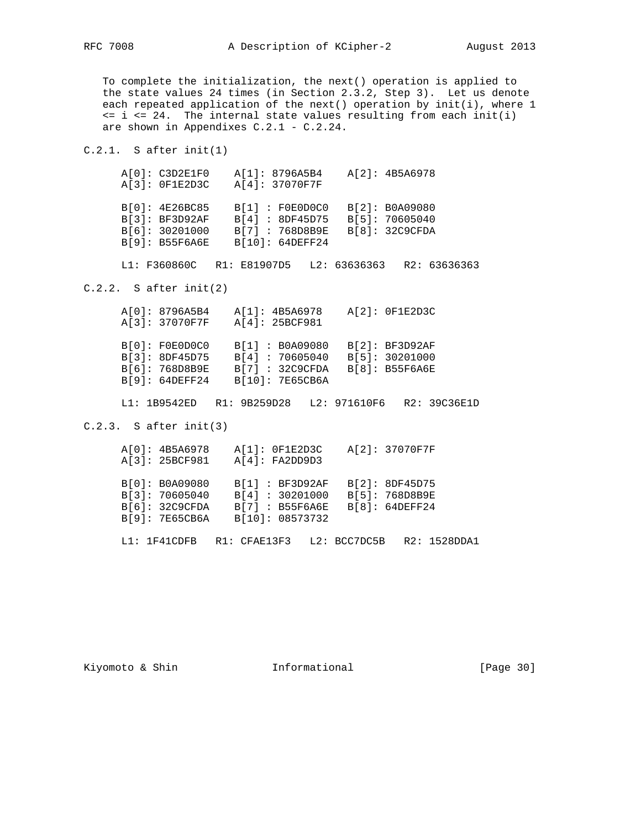To complete the initialization, the next() operation is applied to the state values 24 times (in Section 2.3.2, Step 3). Let us denote each repeated application of the next() operation by init(i), where 1  $\leq i \leq 24$ . The internal state values resulting from each init(i) are shown in Appendixes C.2.1 - C.2.24.

C.2.1. S after init(1)

| A[0]: C3D2E1F0<br>$A[3]:$ OF1E2D3C                                   | A[1]: 8796A5B4<br>A[4]: 37070F7F                                        | A[2]: 4B5A6978                                     |
|----------------------------------------------------------------------|-------------------------------------------------------------------------|----------------------------------------------------|
| B[0]: 4E26BC85<br>B[3]: BF3D92AF<br>B[6]: 30201000<br>B[9]: B55F6A6E | B[1]: F0E0D0C0<br>B[4] : 8DF45D75<br>B[7] : 768D8B9E<br>B[10]: 64DEFF24 | B[2]: B0A09080<br>B[5]: 70605040<br>B[8]: 32C9CFDA |

L1: F360860C R1: E81907D5 L2: 63636363 R2: 63636363

C.2.2. S after init(2)

|  | A[0]: 8796A5B4            | A[1]: 4B5A6978 |                 |              | $A[2]:$ OF1E2D3C |              |
|--|---------------------------|----------------|-----------------|--------------|------------------|--------------|
|  | A[3]: 37070F7F            | A[4]: 25BCF981 |                 |              |                  |              |
|  |                           |                |                 |              |                  |              |
|  | B[0]: FOEODOCO            |                | B[1] : B0A09080 |              | B[2]: BF3D92AF   |              |
|  | B[3]: 8DF45D75            |                | B[4]: 70605040  |              | B[5]: 30201000   |              |
|  | B[6]: 768D8B9E            |                | B[7]: 32C9CFDA  |              | B[8]: B55F6A6E   |              |
|  | B[9]: 64DEFF24            |                | B[10]: 7E65CB6A |              |                  |              |
|  |                           |                |                 |              |                  |              |
|  | L1: 1B9542ED R1: 9B259D28 |                |                 | L2: 971610F6 |                  | R2: 39C36E1D |
|  |                           |                |                 |              |                  |              |

C.2.3. S after init(3)

|  | A[0]: 4B5A6978 | $A[1]:$ OF1E2D3C  |  | A[2]: 37070F7F |  |              |
|--|----------------|-------------------|--|----------------|--|--------------|
|  | A[3]: 25BCF981 | A[4]: FA2DD9D3    |  |                |  |              |
|  |                |                   |  |                |  |              |
|  | B[0]: B0A09080 | B[1]: BF3D92AF    |  | B[2]: 8DF45D75 |  |              |
|  | B[3]: 70605040 | B[4] : 30201000   |  | B[5]: 768D8B9E |  |              |
|  | B[6]: 32C9CFDA | $B[7]$ : B55F6A6E |  | B[8]: 64DEFF24 |  |              |
|  | B[9]: 7E65CB6A | B[10]: 08573732   |  |                |  |              |
|  |                |                   |  |                |  |              |
|  | L1: 1F41CDFB   | R1: CFAE13F3      |  | L2: BCC7DC5B   |  | R2: 1528DDA1 |
|  |                |                   |  |                |  |              |

Kiyomoto & Shin **Informational** [Page 30]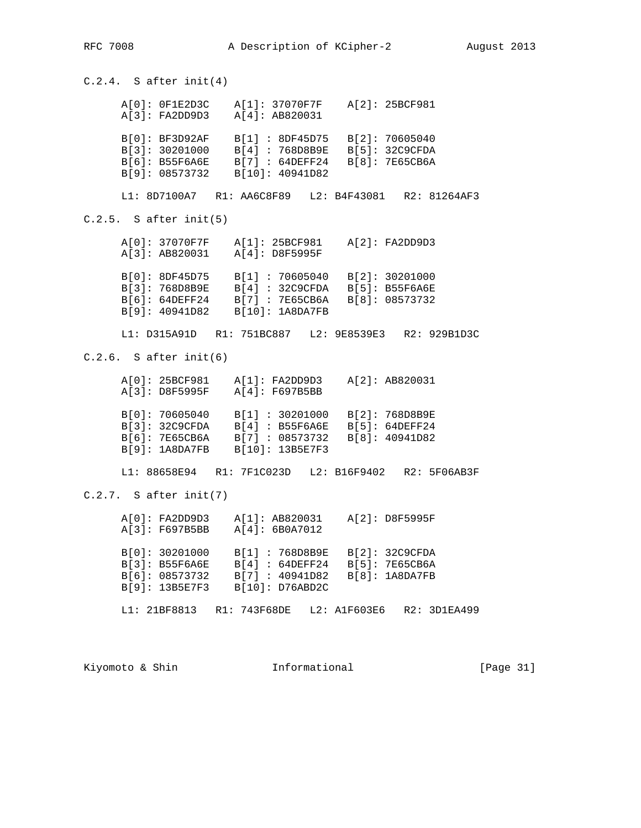$C.2.4.$  S after init(4) A[0]: 0F1E2D3C A[1]: 37070F7F A[2]: 25BCF981 A[3]: FA2DD9D3 A[4]: AB820031 B[0]: BF3D92AF B[1] : 8DF45D75 B[2]: 70605040 B[3]: 30201000 B[4] : 768D8B9E B[5]: 32C9CFDA B[6]: B55F6A6E B[7] : 64DEFF24 B[8]: 7E65CB6A B[9]: 08573732 B[10]: 40941D82 L1: 8D7100A7 R1: AA6C8F89 L2: B4F43081 R2: 81264AF3 C.2.5. S after init(5) A[0]: 37070F7F A[1]: 25BCF981 A[2]: FA2DD9D3 A[3]: AB820031 A[4]: D8F5995F B[0]: 8DF45D75 B[1] : 70605040 B[2]: 30201000 B[3]: 768D8B9E B[4] : 32C9CFDA B[5]: B55F6A6E B[6]: 64DEFF24 B[7] : 7E65CB6A B[8]: 08573732 B[9]: 40941D82 B[10]: 1A8DA7FB L1: D315A91D R1: 751BC887 L2: 9E8539E3 R2: 929B1D3C  $C.2.6.$  S after init(6) A[0]: 25BCF981 A[1]: FA2DD9D3 A[2]: AB820031 A[3]: D8F5995F A[4]: F697B5BB B[0]: 70605040 B[1] : 30201000 B[2]: 768D8B9E B[3]: 32C9CFDA B[4] : B55F6A6E B[5]: 64DEFF24 B[6]: 7E65CB6A B[7] : 08573732 B[8]: 40941D82 B[9]: 1A8DA7FB B[10]: 13B5E7F3 L1: 88658E94 R1: 7F1C023D L2: B16F9402 R2: 5F06AB3F C.2.7. S after init(7) A[0]: FA2DD9D3 A[1]: AB820031 A[2]: D8F5995F A[3]: F697B5BB A[4]: 6B0A7012 B[0]: 30201000 B[1] : 768D8B9E B[2]: 32C9CFDA B[3]: B55F6A6E B[4] : 64DEFF24 B[5]: 7E65CB6A B[6]: 08573732 B[7] : 40941D82 B[8]: 1A8DA7FB B[9]: 13B5E7F3 B[10]: D76ABD2C L1: 21BF8813 R1: 743F68DE L2: A1F603E6 R2: 3D1EA499

Kiyomoto & Shin **Informational** [Page 31]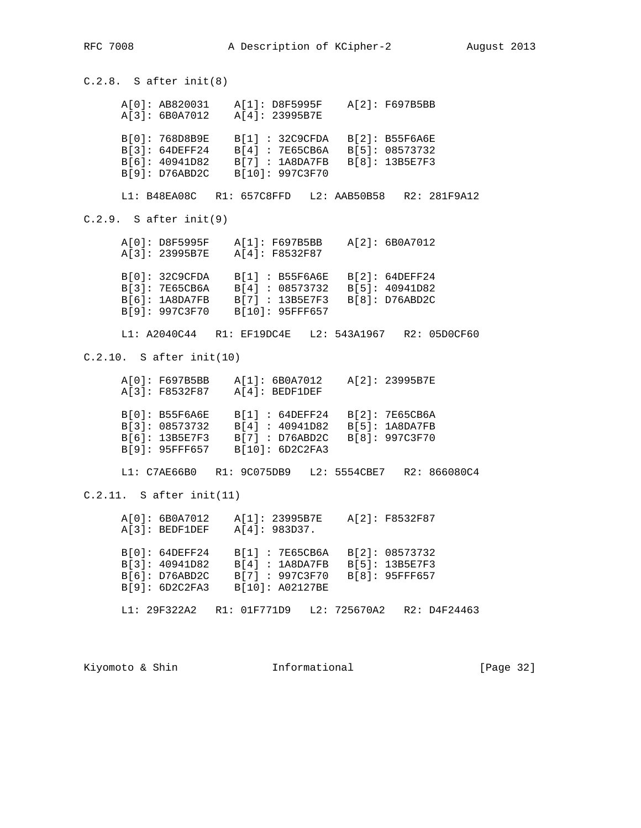C.2.8. S after init(8) A[0]: AB820031 A[1]: D8F5995F A[2]: F697B5BB A[3]: 6B0A7012 A[4]: 23995B7E B[0]: 768D8B9E B[1] : 32C9CFDA B[2]: B55F6A6E B[3]: 64DEFF24 B[4] : 7E65CB6A B[5]: 08573732 B[6]: 40941D82 B[7] : 1A8DA7FB B[8]: 13B5E7F3 B[9]: D76ABD2C B[10]: 997C3F70 L1: B48EA08C R1: 657C8FFD L2: AAB50B58 R2: 281F9A12 C.2.9. S after init(9) A[0]: D8F5995F A[1]: F697B5BB A[2]: 6B0A7012 A[3]: 23995B7E A[4]: F8532F87 B[0]: 32C9CFDA B[1] : B55F6A6E B[2]: 64DEFF24 B[3]: 7E65CB6A B[4] : 08573732 B[5]: 40941D82 B[6]: 1A8DA7FB B[7] : 13B5E7F3 B[8]: D76ABD2C B[9]: 997C3F70 B[10]: 95FFF657 L1: A2040C44 R1: EF19DC4E L2: 543A1967 R2: 05D0CF60 C.2.10. S after init(10) A[0]: F697B5BB A[1]: 6B0A7012 A[2]: 23995B7E A[3]: F8532F87 A[4]: BEDF1DEF B[0]: B55F6A6E B[1] : 64DEFF24 B[2]: 7E65CB6A B[3]: 08573732 B[4] : 40941D82 B[5]: 1A8DA7FB B[6]: 13B5E7F3 B[7] : D76ABD2C B[8]: 997C3F70 B[9]: 95FFF657 B[10]: 6D2C2FA3 L1: C7AE66B0 R1: 9C075DB9 L2: 5554CBE7 R2: 866080C4 C.2.11. S after init(11) A[0]: 6B0A7012 A[1]: 23995B7E A[2]: F8532F87 A[3]: BEDF1DEF A[4]: 983D37. B[0]: 64DEFF24 B[1] : 7E65CB6A B[2]: 08573732 B[3]: 40941D82 B[4] : 1A8DA7FB B[5]: 13B5E7F3 B[6]: D76ABD2C B[7] : 997C3F70 B[8]: 95FFF657 B[9]: 6D2C2FA3 B[10]: A02127BE L1: 29F322A2 R1: 01F771D9 L2: 725670A2 R2: D4F24463

Kiyomoto & Shin **Informational** [Page 32]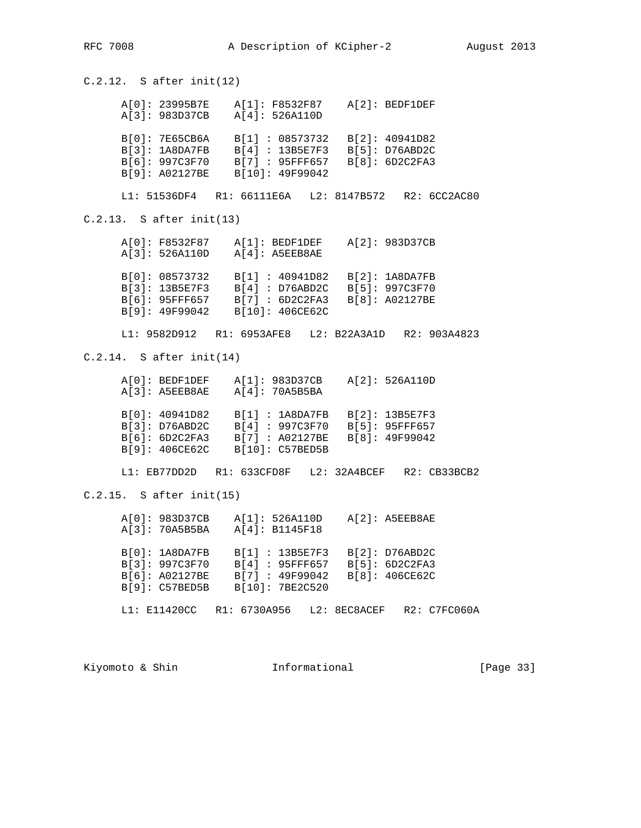C.2.12. S after init(12) A[0]: 23995B7E A[1]: F8532F87 A[2]: BEDF1DEF A[3]: 983D37CB A[4]: 526A110D B[0]: 7E65CB6A B[1] : 08573732 B[2]: 40941D82 B[3]: 1A8DA7FB B[4] : 13B5E7F3 B[5]: D76ABD2C B[6]: 997C3F70 B[7] : 95FFF657 B[8]: 6D2C2FA3 B[9]: A02127BE B[10]: 49F99042 L1: 51536DF4 R1: 66111E6A L2: 8147B572 R2: 6CC2AC80 C.2.13. S after init(13) A[0]: F8532F87 A[1]: BEDF1DEF A[2]: 983D37CB A[3]: 526A110D A[4]: A5EEB8AE B[0]: 08573732 B[1] : 40941D82 B[2]: 1A8DA7FB B[3]: 13B5E7F3 B[4] : D76ABD2C B[5]: 997C3F70 B[6]: 95FFF657 B[7] : 6D2C2FA3 B[8]: A02127BE B[9]: 49F99042 B[10]: 406CE62C L1: 9582D912 R1: 6953AFE8 L2: B22A3A1D R2: 903A4823 C.2.14. S after init(14) A[0]: BEDF1DEF A[1]: 983D37CB A[2]: 526A110D A[3]: A5EEB8AE A[4]: 70A5B5BA B[0]: 40941D82 B[1] : 1A8DA7FB B[2]: 13B5E7F3 B[3]: D76ABD2C B[4] : 997C3F70 B[5]: 95FFF657 B[6]: 6D2C2FA3 B[7] : A02127BE B[8]: 49F99042 B[9]: 406CE62C B[10]: C57BED5B L1: EB77DD2D R1: 633CFD8F L2: 32A4BCEF R2: CB33BCB2 C.2.15. S after init(15) A[0]: 983D37CB A[1]: 526A110D A[2]: A5EEB8AE A[3]: 70A5B5BA A[4]: B1145F18 B[0]: 1A8DA7FB B[1] : 13B5E7F3 B[2]: D76ABD2C B[3]: 997C3F70 B[4] : 95FFF657 B[5]: 6D2C2FA3 B[6]: A02127BE B[7] : 49F99042 B[8]: 406CE62C B[9]: C57BED5B B[10]: 7BE2C520 L1: E11420CC R1: 6730A956 L2: 8EC8ACEF R2: C7FC060A

Kiyomoto & Shin **Informational** [Page 33]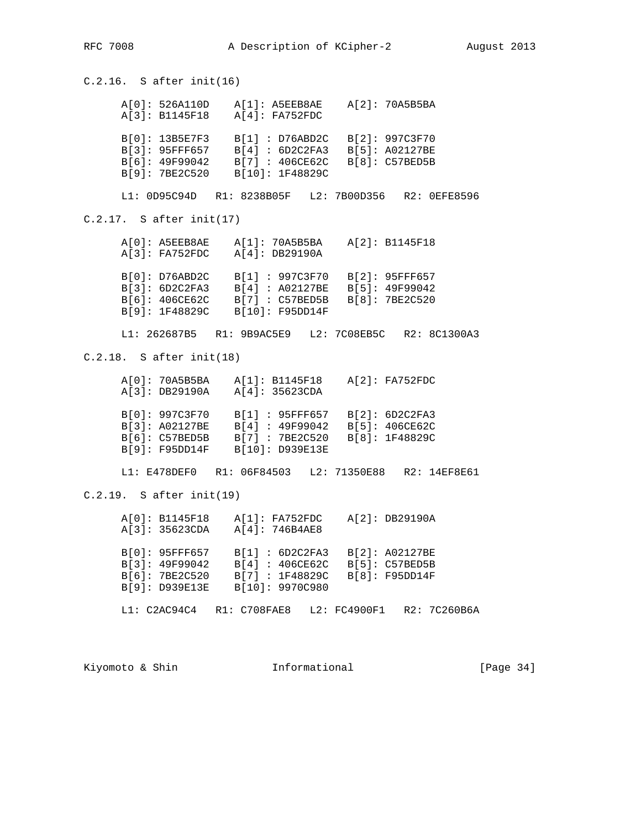C.2.16. S after init(16) A[0]: 526A110D A[1]: A5EEB8AE A[2]: 70A5B5BA A[3]: B1145F18 A[4]: FA752FDC B[0]: 13B5E7F3 B[1] : D76ABD2C B[2]: 997C3F70 B[3]: 95FFF657 B[4] : 6D2C2FA3 B[5]: A02127BE B[6]: 49F99042 B[7] : 406CE62C B[8]: C57BED5B B[9]: 7BE2C520 B[10]: 1F48829C L1: 0D95C94D R1: 8238B05F L2: 7B00D356 R2: 0EFE8596 C.2.17. S after init(17) A[0]: A5EEB8AE A[1]: 70A5B5BA A[2]: B1145F18 A[3]: FA752FDC A[4]: DB29190A B[0]: D76ABD2C B[1] : 997C3F70 B[2]: 95FFF657 B[3]: 6D2C2FA3 B[4] : A02127BE B[5]: 49F99042 B[6]: 406CE62C B[7] : C57BED5B B[8]: 7BE2C520 B[9]: 1F48829C B[10]: F95DD14F L1: 262687B5 R1: 9B9AC5E9 L2: 7C08EB5C R2: 8C1300A3 C.2.18. S after init(18) A[0]: 70A5B5BA A[1]: B1145F18 A[2]: FA752FDC A[3]: DB29190A A[4]: 35623CDA B[0]: 997C3F70 B[1] : 95FFF657 B[2]: 6D2C2FA3 B[3]: A02127BE B[4] : 49F99042 B[5]: 406CE62C B[6]: C57BED5B B[7] : 7BE2C520 B[8]: 1F48829C B[9]: F95DD14F B[10]: D939E13E L1: E478DEF0 R1: 06F84503 L2: 71350E88 R2: 14EF8E61 C.2.19. S after init(19) A[0]: B1145F18 A[1]: FA752FDC A[2]: DB29190A A[3]: 35623CDA A[4]: 746B4AE8 B[0]: 95FFF657 B[1] : 6D2C2FA3 B[2]: A02127BE B[3]: 49F99042 B[4] : 406CE62C B[5]: C57BED5B B[6]: 7BE2C520 B[7] : 1F48829C B[8]: F95DD14F B[9]: D939E13E B[10]: 9970C980 L1: C2AC94C4 R1: C708FAE8 L2: FC4900F1 R2: 7C260B6A

Kiyomoto & Shin **Informational** [Page 34]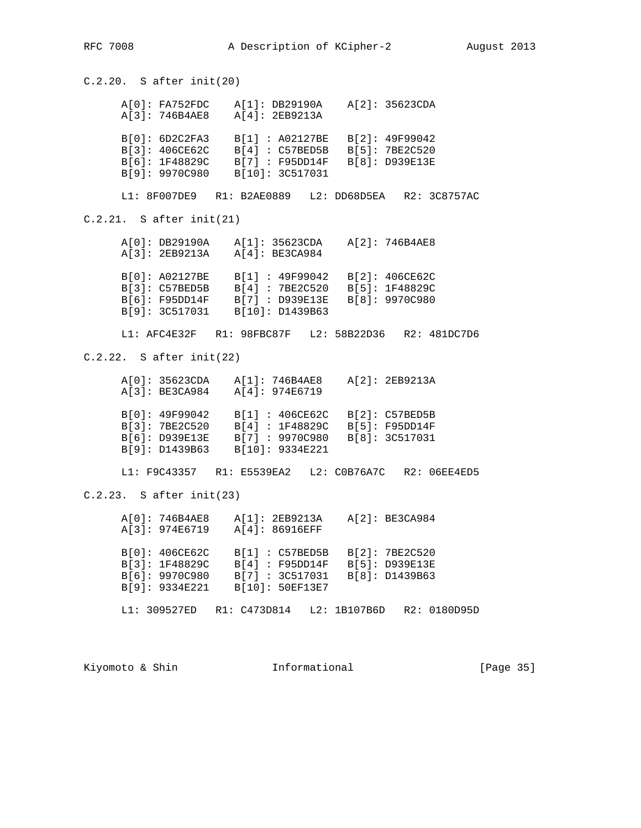C.2.20. S after init(20) A[0]: FA752FDC A[1]: DB29190A A[2]: 35623CDA A[3]: 746B4AE8 A[4]: 2EB9213A B[0]: 6D2C2FA3 B[1] : A02127BE B[2]: 49F99042 B[3]: 406CE62C B[4] : C57BED5B B[5]: 7BE2C520 B[6]: 1F48829C B[7] : F95DD14F B[8]: D939E13E B[9]: 9970C980 B[10]: 3C517031 L1: 8F007DE9 R1: B2AE0889 L2: DD68D5EA R2: 3C8757AC C.2.21. S after init(21) A[0]: DB29190A A[1]: 35623CDA A[2]: 746B4AE8 A[3]: 2EB9213A A[4]: BE3CA984 B[0]: A02127BE B[1] : 49F99042 B[2]: 406CE62C B[3]: C57BED5B B[4] : 7BE2C520 B[5]: 1F48829C B[6]: F95DD14F B[7] : D939E13E B[8]: 9970C980 B[9]: 3C517031 B[10]: D1439B63 L1: AFC4E32F R1: 98FBC87F L2: 58B22D36 R2: 481DC7D6 C.2.22. S after init(22) A[0]: 35623CDA A[1]: 746B4AE8 A[2]: 2EB9213A A[3]: BE3CA984 A[4]: 974E6719 B[0]: 49F99042 B[1] : 406CE62C B[2]: C57BED5B B[3]: 7BE2C520 B[4] : 1F48829C B[5]: F95DD14F B[6]: D939E13E B[7] : 9970C980 B[8]: 3C517031 B[9]: D1439B63 B[10]: 9334E221 L1: F9C43357 R1: E5539EA2 L2: C0B76A7C R2: 06EE4ED5 C.2.23. S after init(23) A[0]: 746B4AE8 A[1]: 2EB9213A A[2]: BE3CA984 A[3]: 974E6719 A[4]: 86916EFF B[0]: 406CE62C B[1] : C57BED5B B[2]: 7BE2C520 B[3]: 1F48829C B[4] : F95DD14F B[5]: D939E13E B[6]: 9970C980 B[7] : 3C517031 B[8]: D1439B63 B[9]: 9334E221 B[10]: 50EF13E7 L1: 309527ED R1: C473D814 L2: 1B107B6D R2: 0180D95D

Kiyomoto & Shin **Informational** [Page 35]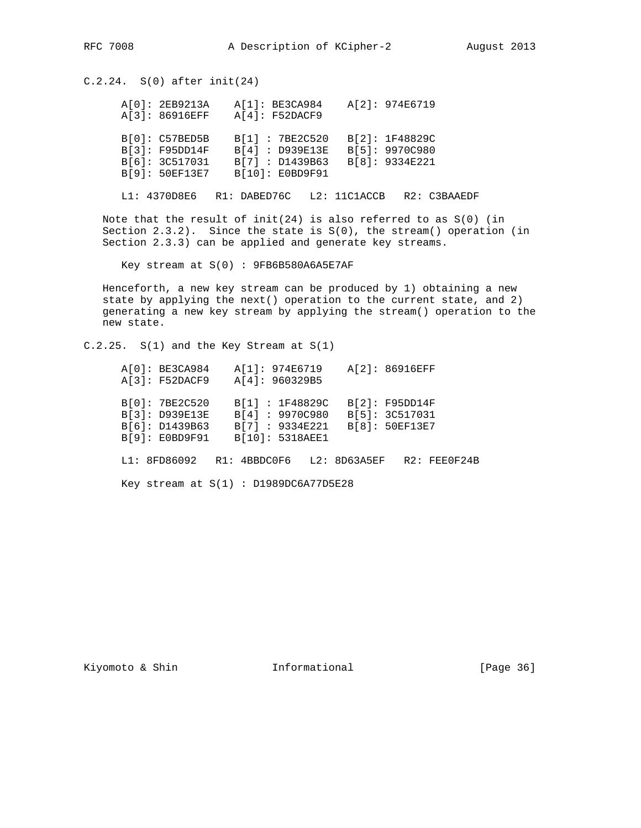C.2.24. S(0) after init(24)

| A[0]: 2EB9213A<br>A[3]: 86916EFF                                     | A[1]: BE3CA984<br>A[4]: F52DACF9 |                                                                         | A[2]: 974E6719                                     |
|----------------------------------------------------------------------|----------------------------------|-------------------------------------------------------------------------|----------------------------------------------------|
| B[0]: C57BED5B<br>B[3]: F95DD14F<br>B[6]: 3C517031<br>B[9]: 50EF13E7 |                                  | B[1]: 7BE2C520<br>B[4] : D939E13E<br>B[7] : D1439B63<br>B[10]: E0BD9F91 | B[2]: 1F48829C<br>B[5]: 9970C980<br>B[8]: 9334E221 |

L1: 4370D8E6 R1: DABED76C L2: 11C1ACCB R2: C3BAAEDF

Note that the result of  $init(24)$  is also referred to as  $S(0)$  (in Section  $2.3.2$ ). Since the state is  $S(0)$ , the stream() operation (in Section 2.3.3) can be applied and generate key streams.

Key stream at S(0) : 9FB6B580A6A5E7AF

 Henceforth, a new key stream can be produced by 1) obtaining a new state by applying the next() operation to the current state, and 2) generating a new key stream by applying the stream() operation to the new state.

 $C.2.25. S(1)$  and the Key Stream at  $S(1)$ 

|  | A[0]: BE3C4984                          | A[1]: 974E6719 |                 |                | A[2]: 86916EFF |              |
|--|-----------------------------------------|----------------|-----------------|----------------|----------------|--------------|
|  | A[3]: F52DACF9                          | A[4]: 960329B5 |                 |                |                |              |
|  | B[0]: 7BE2C520                          |                | B[1]: 1F48829C  |                | B[2]: F95DD14F |              |
|  | B[3]: D939E13E                          |                | B[4] : 9970C980 | B[5]: 3C517031 |                |              |
|  | B[6]: D1439B63                          |                | B[7] : 9334E221 | B[8]: 50EF13E7 |                |              |
|  | B[9]: EOBD9F91                          |                | B[10]: 5318AEE1 |                |                |              |
|  | L1: 8FD86092 R1: 4BBDC0F6 L2: 8D63A5EF  |                |                 |                |                | R2: FEE0F24B |
|  | Key stream at $S(1)$ : D1989DC6A77D5E28 |                |                 |                |                |              |